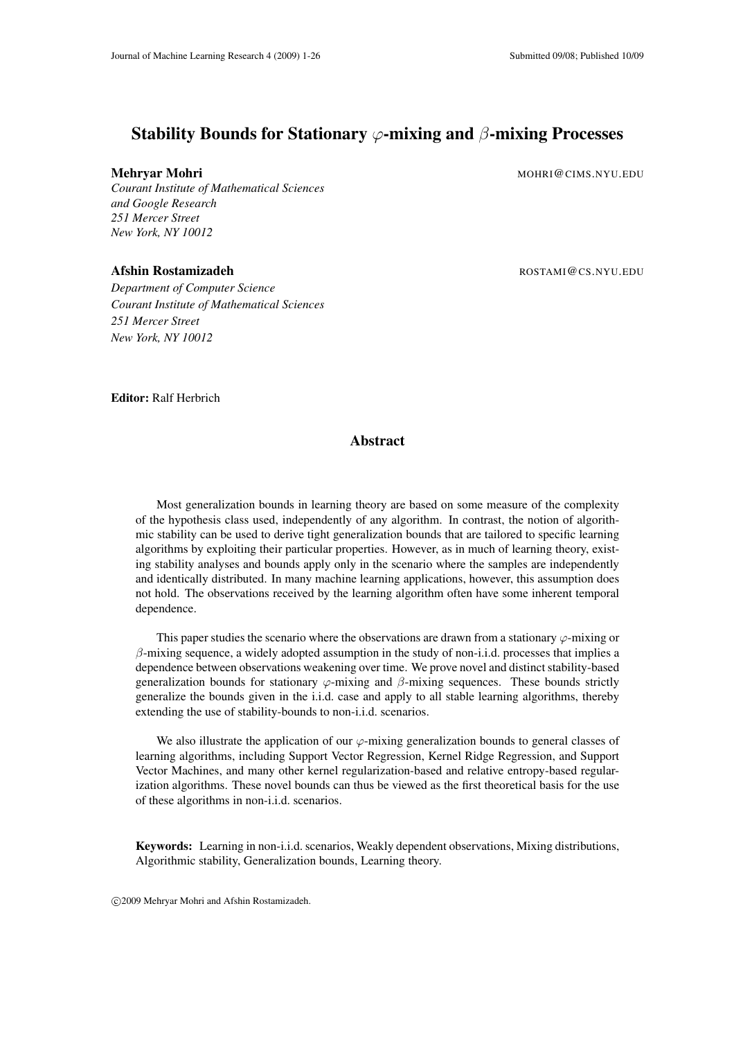# Stability Bounds for Stationary  $\varphi$ -mixing and  $\beta$ -mixing Processes

*Courant Institute of Mathematical Sciences and Google Research 251 Mercer Street New York, NY 10012*

*Department of Computer Science Courant Institute of Mathematical Sciences 251 Mercer Street New York, NY 10012*

Mehryar Mohri Mohri Mohri Mohri Mohri Mohri Mohri Mohri Mohri Mohri Mohri Mohri Mohri Mohri Mohri Mo

Afshin Rostamizadeh **Rostamizadeh Rostamizadeh ROSTAMI@CS.NYU.EDU** 

Editor: Ralf Herbrich

## Abstract

Most generalization bounds in learning theory are based on some measure of the complexity of the hypothesis class used, independently of any algorithm. In contrast, the notion of algorithmic stability can be used to derive tight generalization bounds that are tailored to specific learning algorithms by exploiting their particular properties. However, as in much of learning theory, existing stability analyses and bounds apply only in the scenario where the samples are independently and identically distributed. In many machine learning applications, however, this assumption does not hold. The observations received by the learning algorithm often have some inherent temporal dependence.

This paper studies the scenario where the observations are drawn from a stationary  $\varphi$ -mixing or  $\beta$ -mixing sequence, a widely adopted assumption in the study of non-i.i.d. processes that implies a dependence between observations weakening over time. We prove novel and distinct stability-based generalization bounds for stationary  $\varphi$ -mixing and  $\beta$ -mixing sequences. These bounds strictly generalize the bounds given in the i.i.d. case and apply to all stable learning algorithms, thereby extending the use of stability-bounds to non-i.i.d. scenarios.

We also illustrate the application of our  $\varphi$ -mixing generalization bounds to general classes of learning algorithms, including Support Vector Regression, Kernel Ridge Regression, and Support Vector Machines, and many other kernel regularization-based and relative entropy-based regularization algorithms. These novel bounds can thus be viewed as the first theoretical basis for the use of these algorithms in non-i.i.d. scenarios.

Keywords: Learning in non-i.i.d. scenarios, Weakly dependent observations, Mixing distributions, Algorithmic stability, Generalization bounds, Learning theory.

c 2009 Mehryar Mohri and Afshin Rostamizadeh.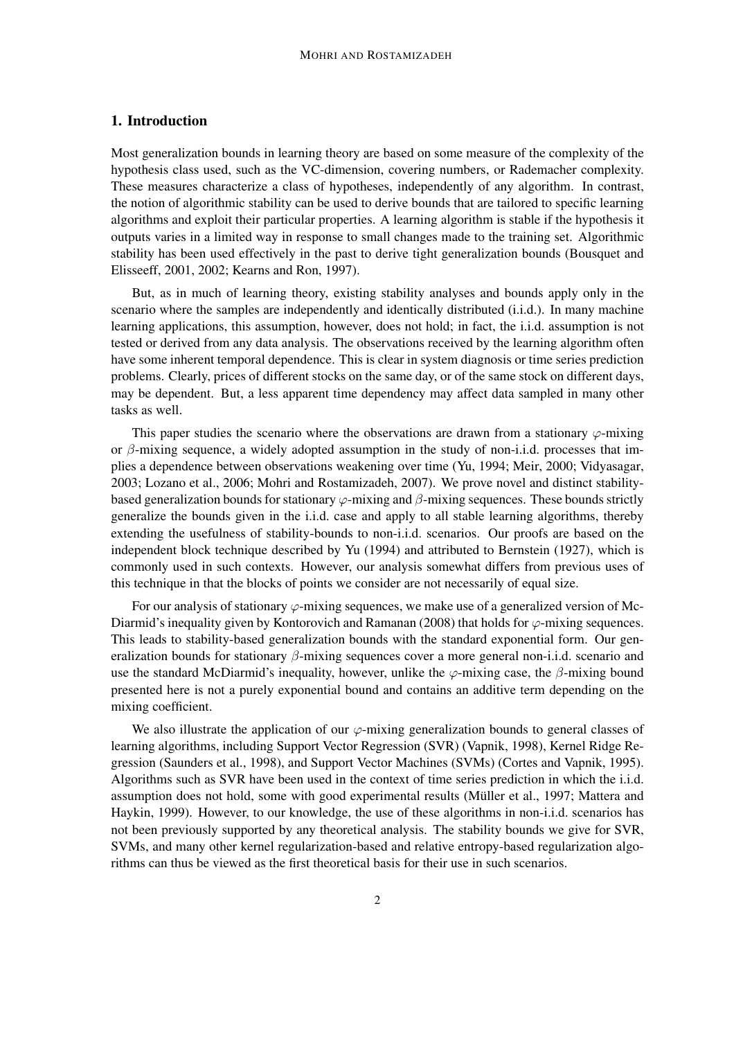## 1. Introduction

Most generalization bounds in learning theory are based on some measure of the complexity of the hypothesis class used, such as the VC-dimension, covering numbers, or Rademacher complexity. These measures characterize a class of hypotheses, independently of any algorithm. In contrast, the notion of algorithmic stability can be used to derive bounds that are tailored to specific learning algorithms and exploit their particular properties. A learning algorithm is stable if the hypothesis it outputs varies in a limited way in response to small changes made to the training set. Algorithmic stability has been used effectively in the past to derive tight generalization bounds (Bousquet and Elisseeff, 2001, 2002; Kearns and Ron, 1997).

But, as in much of learning theory, existing stability analyses and bounds apply only in the scenario where the samples are independently and identically distributed (i.i.d.). In many machine learning applications, this assumption, however, does not hold; in fact, the i.i.d. assumption is not tested or derived from any data analysis. The observations received by the learning algorithm often have some inherent temporal dependence. This is clear in system diagnosis or time series prediction problems. Clearly, prices of different stocks on the same day, or of the same stock on different days, may be dependent. But, a less apparent time dependency may affect data sampled in many other tasks as well.

This paper studies the scenario where the observations are drawn from a stationary  $\varphi$ -mixing or  $\beta$ -mixing sequence, a widely adopted assumption in the study of non-i.i.d. processes that implies a dependence between observations weakening over time (Yu, 1994; Meir, 2000; Vidyasagar, 2003; Lozano et al., 2006; Mohri and Rostamizadeh, 2007). We prove novel and distinct stabilitybased generalization bounds for stationary  $\varphi$ -mixing and  $\beta$ -mixing sequences. These bounds strictly generalize the bounds given in the i.i.d. case and apply to all stable learning algorithms, thereby extending the usefulness of stability-bounds to non-i.i.d. scenarios. Our proofs are based on the independent block technique described by Yu (1994) and attributed to Bernstein (1927), which is commonly used in such contexts. However, our analysis somewhat differs from previous uses of this technique in that the blocks of points we consider are not necessarily of equal size.

For our analysis of stationary  $\varphi$ -mixing sequences, we make use of a generalized version of Mc-Diarmid's inequality given by Kontorovich and Ramanan (2008) that holds for  $\varphi$ -mixing sequences. This leads to stability-based generalization bounds with the standard exponential form. Our generalization bounds for stationary  $\beta$ -mixing sequences cover a more general non-i.i.d. scenario and use the standard McDiarmid's inequality, however, unlike the  $\varphi$ -mixing case, the  $\beta$ -mixing bound presented here is not a purely exponential bound and contains an additive term depending on the mixing coefficient.

We also illustrate the application of our  $\varphi$ -mixing generalization bounds to general classes of learning algorithms, including Support Vector Regression (SVR) (Vapnik, 1998), Kernel Ridge Regression (Saunders et al., 1998), and Support Vector Machines (SVMs) (Cortes and Vapnik, 1995). Algorithms such as SVR have been used in the context of time series prediction in which the i.i.d. assumption does not hold, some with good experimental results (Müller et al., 1997; Mattera and Haykin, 1999). However, to our knowledge, the use of these algorithms in non-i.i.d. scenarios has not been previously supported by any theoretical analysis. The stability bounds we give for SVR, SVMs, and many other kernel regularization-based and relative entropy-based regularization algorithms can thus be viewed as the first theoretical basis for their use in such scenarios.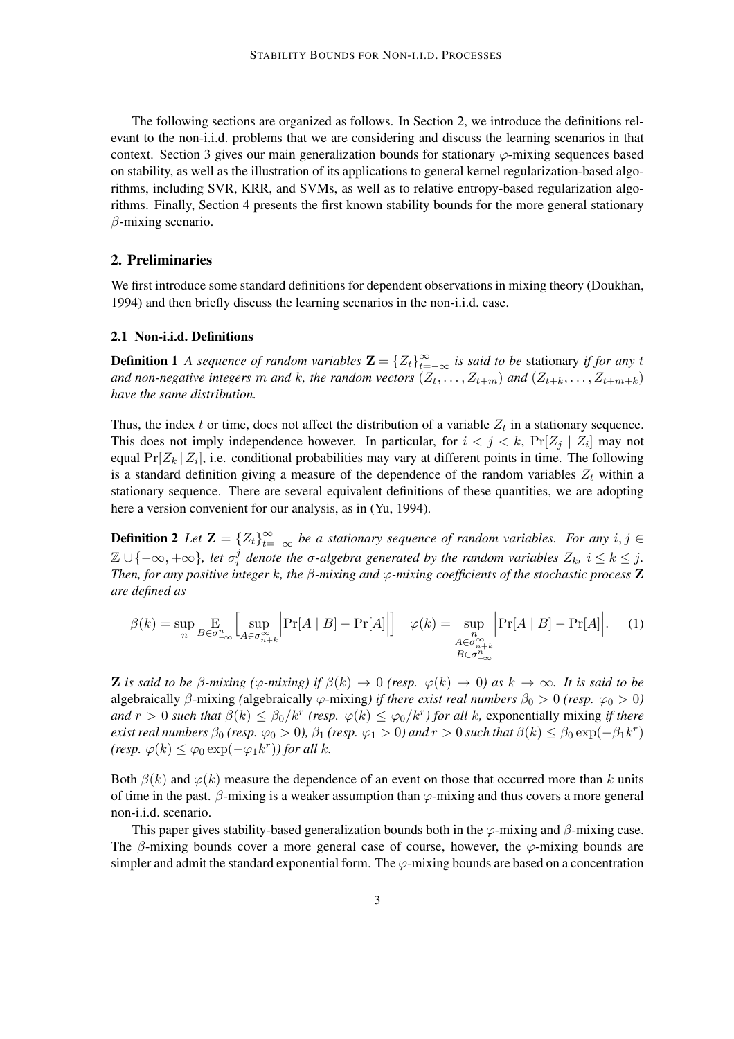The following sections are organized as follows. In Section 2, we introduce the definitions relevant to the non-i.i.d. problems that we are considering and discuss the learning scenarios in that context. Section 3 gives our main generalization bounds for stationary  $\varphi$ -mixing sequences based on stability, as well as the illustration of its applications to general kernel regularization-based algorithms, including SVR, KRR, and SVMs, as well as to relative entropy-based regularization algorithms. Finally, Section 4 presents the first known stability bounds for the more general stationary  $\beta$ -mixing scenario.

## 2. Preliminaries

We first introduce some standard definitions for dependent observations in mixing theory (Doukhan, 1994) and then briefly discuss the learning scenarios in the non-i.i.d. case.

## 2.1 Non-i.i.d. Definitions

**Definition 1** *A sequence of random variables*  $\mathbf{Z} = \{Z_t\}_{t=-\infty}^{\infty}$  *is said to be stationary if for any t* and non-negative integers  $m$  and  $k$ , the random vectors  $(Z_t, \ldots, Z_{t+m})$  and  $(Z_{t+k}, \ldots, Z_{t+m+k})$ *have the same distribution.*

Thus, the index t or time, does not affect the distribution of a variable  $Z_t$  in a stationary sequence. This does not imply independence however. In particular, for  $i < j < k$ ,  $Pr[Z_j | Z_i]$  may not equal  $Pr[Z_k | Z_i]$ , i.e. conditional probabilities may vary at different points in time. The following is a standard definition giving a measure of the dependence of the random variables  $Z_t$  within a stationary sequence. There are several equivalent definitions of these quantities, we are adopting here a version convenient for our analysis, as in (Yu, 1994).

**Definition 2** Let  $\mathbf{Z} = \{Z_t\}_{t=-\infty}^{\infty}$  be a stationary sequence of random variables. For any  $i, j \in$  $\mathbb{Z} \cup \{-\infty, +\infty\}$ , let  $\sigma_i^j$  $\frac{1}{i}$  denote the  $\sigma$ -algebra generated by the random variables  $Z_k$ ,  $i \leq k \leq j$ . *Then, for any positive integer* k*, the* β*-mixing and* ϕ*-mixing coefficients of the stochastic process* Z *are defined as*

$$
\beta(k) = \sup_{n} \underset{B \in \sigma_{-\infty}^{n}}{\text{E}} \left[ \sup_{A \in \sigma_{n+k}^{\infty}} \left| \Pr[A \mid B] - \Pr[A] \right| \right] \quad \varphi(k) = \sup_{\substack{n \\ A \in \sigma_{n+k}^{\infty} \\ B \in \sigma_{-\infty}^{n}}} \left| \Pr[A \mid B] - \Pr[A] \right|.
$$
 (1)

**Z** is said to be  $\beta$ -mixing ( $\varphi$ -mixing) if  $\beta(k) \to 0$  (resp.  $\varphi(k) \to 0$ ) as  $k \to \infty$ . It is said to be algebraically  $\beta$ -mixing *(algebraically*  $\varphi$ *-mixing) if there exist real numbers*  $\beta_0 > 0$  *(resp.*  $\varphi_0 > 0$ ) *and*  $r > 0$  *such that*  $\beta(k) \leq \beta_0/k^r$  (resp.  $\varphi(k) \leq \varphi_0/k^r$ ) for all k, exponentially mixing *if there exist real numbers*  $\beta_0$  *(resp.*  $\varphi_0 > 0$ ),  $\beta_1$  *(resp.*  $\varphi_1 > 0$ ) and  $r > 0$  such that  $\beta(k) \leq \beta_0 \exp(-\beta_1 k^r)$  $(resp. \varphi(k) \leq \varphi_0 \exp(-\varphi_1 k^r))$  for all k.

Both  $\beta(k)$  and  $\varphi(k)$  measure the dependence of an event on those that occurred more than k units of time in the past.  $\beta$ -mixing is a weaker assumption than  $\varphi$ -mixing and thus covers a more general non-i.i.d. scenario.

This paper gives stability-based generalization bounds both in the  $\varphi$ -mixing and  $\beta$ -mixing case. The  $\beta$ -mixing bounds cover a more general case of course, however, the  $\varphi$ -mixing bounds are simpler and admit the standard exponential form. The  $\varphi$ -mixing bounds are based on a concentration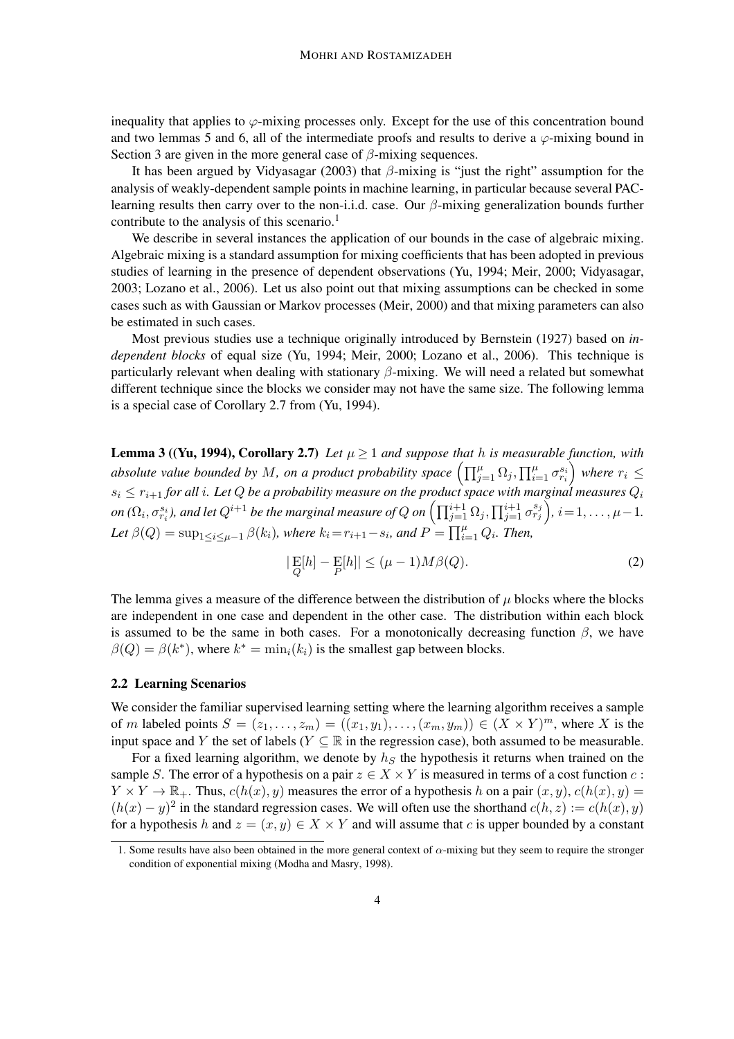inequality that applies to  $\varphi$ -mixing processes only. Except for the use of this concentration bound and two lemmas 5 and 6, all of the intermediate proofs and results to derive a  $\varphi$ -mixing bound in Section 3 are given in the more general case of  $\beta$ -mixing sequences.

It has been argued by Vidyasagar (2003) that  $\beta$ -mixing is "just the right" assumption for the analysis of weakly-dependent sample points in machine learning, in particular because several PAClearning results then carry over to the non-i.i.d. case. Our  $\beta$ -mixing generalization bounds further contribute to the analysis of this scenario.<sup>1</sup>

We describe in several instances the application of our bounds in the case of algebraic mixing. Algebraic mixing is a standard assumption for mixing coefficients that has been adopted in previous studies of learning in the presence of dependent observations (Yu, 1994; Meir, 2000; Vidyasagar, 2003; Lozano et al., 2006). Let us also point out that mixing assumptions can be checked in some cases such as with Gaussian or Markov processes (Meir, 2000) and that mixing parameters can also be estimated in such cases.

Most previous studies use a technique originally introduced by Bernstein (1927) based on *independent blocks* of equal size (Yu, 1994; Meir, 2000; Lozano et al., 2006). This technique is particularly relevant when dealing with stationary  $\beta$ -mixing. We will need a related but somewhat different technique since the blocks we consider may not have the same size. The following lemma is a special case of Corollary 2.7 from (Yu, 1994).

**Lemma 3 ((Yu, 1994), Corollary 2.7)** *Let*  $\mu \geq 1$  *and suppose that* h *is measurable function, with absolute value bounded by M, on a product probability space*  $\left(\prod_{j=1}^{\mu}\Omega_j, \prod_{i=1}^{\mu}\sigma^{s_i}_{r_i}\right)$  $\sum_{i=1}^{n}$  where  $r_i \leq$  $s_i \leq r_{i+1}$  for all  $i.$  Let  $Q$  be a probability measure on the product space with marginal measures  $Q_i$  $\phi$  ( $\Omega_i, \sigma^{s_i}_{r_i}$ ), and let  $Q^{i+1}$  be the marginal measure of  $Q$  on  $\left(\prod_{j=1}^{i+1}\Omega_j, \prod_{j=1}^{i+1}\sigma^{s_j}_{r_j}\right)$ ,  $i=1,\ldots,\mu-1.$ Let  $\beta(Q) = \sup_{1 \leq i \leq \mu-1} \beta(k_i)$ , where  $k_i = r_{i+1} - s_i$ , and  $P = \prod_{i=1}^{\mu} Q_i$ . Then,

$$
|\mathop{\mathrm{E}}_Q[h] - \mathop{\mathrm{E}}_P[h]| \le (\mu - 1)M\beta(Q). \tag{2}
$$

The lemma gives a measure of the difference between the distribution of  $\mu$  blocks where the blocks are independent in one case and dependent in the other case. The distribution within each block is assumed to be the same in both cases. For a monotonically decreasing function  $\beta$ , we have  $\beta(Q) = \beta(k^*)$ , where  $k^* = \min_i(k_i)$  is the smallest gap between blocks.

## 2.2 Learning Scenarios

We consider the familiar supervised learning setting where the learning algorithm receives a sample of m labeled points  $S = (z_1, \ldots, z_m) = ((x_1, y_1), \ldots, (x_m, y_m)) \in (X \times Y)^m$ , where X is the input space and Y the set of labels ( $Y \subseteq \mathbb{R}$  in the regression case), both assumed to be measurable.

For a fixed learning algorithm, we denote by  $h<sub>S</sub>$  the hypothesis it returns when trained on the sample S. The error of a hypothesis on a pair  $z \in X \times Y$  is measured in terms of a cost function c:  $Y \times Y \to \mathbb{R}_+$ . Thus,  $c(h(x), y)$  measures the error of a hypothesis h on a pair  $(x, y)$ ,  $c(h(x), y) =$  $(h(x) - y)^2$  in the standard regression cases. We will often use the shorthand  $c(h, z) := c(h(x), y)$ for a hypothesis h and  $z = (x, y) \in X \times Y$  and will assume that c is upper bounded by a constant

<sup>1.</sup> Some results have also been obtained in the more general context of  $\alpha$ -mixing but they seem to require the stronger condition of exponential mixing (Modha and Masry, 1998).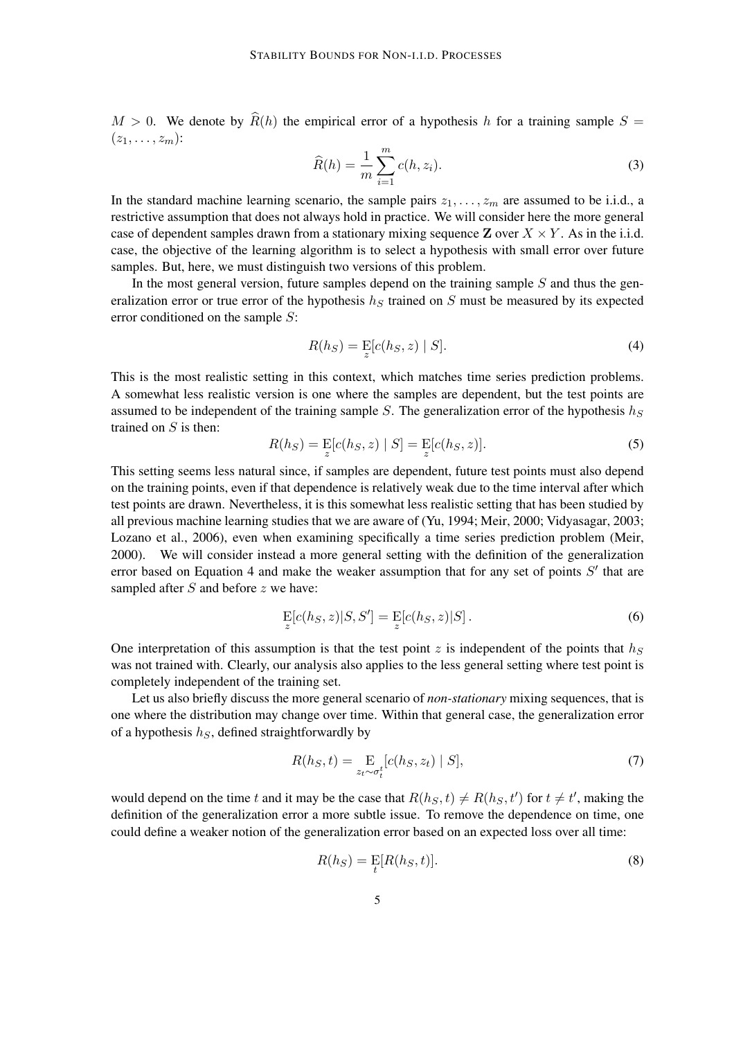$M > 0$ . We denote by  $\widehat{R}(h)$  the empirical error of a hypothesis h for a training sample  $S =$  $(z_1,\ldots,z_m)$ :

$$
\widehat{R}(h) = \frac{1}{m} \sum_{i=1}^{m} c(h, z_i).
$$
\n(3)

In the standard machine learning scenario, the sample pairs  $z_1, \ldots, z_m$  are assumed to be i.i.d., a restrictive assumption that does not always hold in practice. We will consider here the more general case of dependent samples drawn from a stationary mixing sequence  $\mathbf{Z}$  over  $X \times Y$ . As in the i.i.d. case, the objective of the learning algorithm is to select a hypothesis with small error over future samples. But, here, we must distinguish two versions of this problem.

In the most general version, future samples depend on the training sample  $S$  and thus the generalization error or true error of the hypothesis  $h<sub>S</sub>$  trained on S must be measured by its expected error conditioned on the sample S:

$$
R(h_S) = \mathop{\mathrm{E}}\limits_z[c(h_S, z) \mid S]. \tag{4}
$$

This is the most realistic setting in this context, which matches time series prediction problems. A somewhat less realistic version is one where the samples are dependent, but the test points are assumed to be independent of the training sample  $S$ . The generalization error of the hypothesis  $h_S$ trained on S is then:

$$
R(h_S) = \mathop{\mathbb{E}}_{z}[c(h_S, z) | S] = \mathop{\mathbb{E}}_{z}[c(h_S, z)].
$$
 (5)

This setting seems less natural since, if samples are dependent, future test points must also depend on the training points, even if that dependence is relatively weak due to the time interval after which test points are drawn. Nevertheless, it is this somewhat less realistic setting that has been studied by all previous machine learning studies that we are aware of (Yu, 1994; Meir, 2000; Vidyasagar, 2003; Lozano et al., 2006), even when examining specifically a time series prediction problem (Meir, 2000). We will consider instead a more general setting with the definition of the generalization error based on Equation 4 and make the weaker assumption that for any set of points  $S'$  that are sampled after  $S$  and before  $z$  we have:

$$
\mathcal{E}[c(h_S, z)|S, S'] = \mathcal{E}[c(h_S, z)|S].
$$
\n(6)

One interpretation of this assumption is that the test point z is independent of the points that  $h<sub>S</sub>$ was not trained with. Clearly, our analysis also applies to the less general setting where test point is completely independent of the training set.

Let us also briefly discuss the more general scenario of *non-stationary* mixing sequences, that is one where the distribution may change over time. Within that general case, the generalization error of a hypothesis  $h<sub>S</sub>$ , defined straightforwardly by

$$
R(h_S, t) = \underset{z_t \sim \sigma_t^t}{\mathrm{E}} [c(h_S, z_t) \mid S], \tag{7}
$$

would depend on the time t and it may be the case that  $R(h_S, t) \neq R(h_S, t')$  for  $t \neq t'$ , making the definition of the generalization error a more subtle issue. To remove the dependence on time, one could define a weaker notion of the generalization error based on an expected loss over all time:

$$
R(h_S) = \mathop{\mathbb{E}}_t[R(h_S, t)].
$$
\n(8)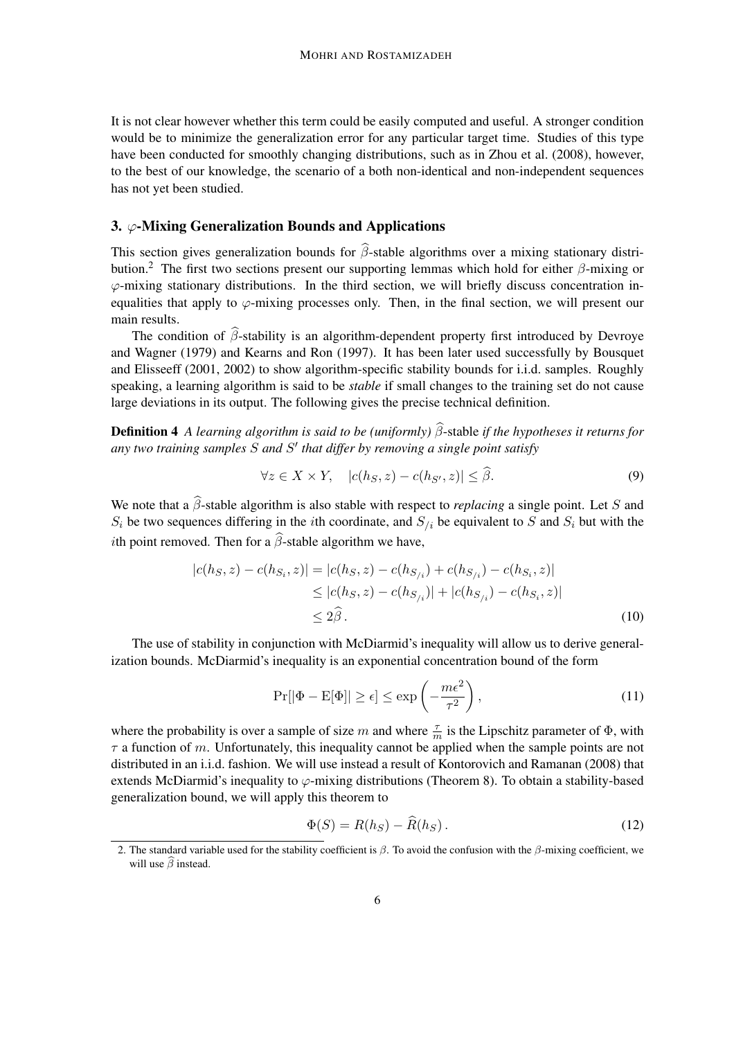It is not clear however whether this term could be easily computed and useful. A stronger condition would be to minimize the generalization error for any particular target time. Studies of this type have been conducted for smoothly changing distributions, such as in Zhou et al. (2008), however, to the best of our knowledge, the scenario of a both non-identical and non-independent sequences has not yet been studied.

## 3.  $\varphi$ -Mixing Generalization Bounds and Applications

This section gives generalization bounds for  $\hat{\beta}$ -stable algorithms over a mixing stationary distribution.<sup>2</sup> The first two sections present our supporting lemmas which hold for either  $\beta$ -mixing or  $\varphi$ -mixing stationary distributions. In the third section, we will briefly discuss concentration inequalities that apply to  $\varphi$ -mixing processes only. Then, in the final section, we will present our main results.

The condition of  $\hat{\beta}$ -stability is an algorithm-dependent property first introduced by Devroye and Wagner (1979) and Kearns and Ron (1997). It has been later used successfully by Bousquet and Elisseeff (2001, 2002) to show algorithm-specific stability bounds for i.i.d. samples. Roughly speaking, a learning algorithm is said to be *stable* if small changes to the training set do not cause large deviations in its output. The following gives the precise technical definition.

**Definition 4** *A learning algorithm is said to be (uniformly)*  $\hat{\beta}$ -stable *if the hypotheses it returns for any two training samples* S *and* S ′ *that differ by removing a single point satisfy*

$$
\forall z \in X \times Y, \quad |c(h_S, z) - c(h_{S'}, z)| \leq \hat{\beta}.\tag{9}
$$

We note that a  $\hat{\beta}$ -stable algorithm is also stable with respect to *replacing* a single point. Let S and  $S_i$  be two sequences differing in the *i*th coordinate, and  $S_{i}$  be equivalent to S and  $S_i$  but with the *i*th point removed. Then for a  $\hat{\beta}$ -stable algorithm we have,

$$
|c(h_S, z) - c(h_{S_i}, z)| = |c(h_S, z) - c(h_{S_{i}}) + c(h_{S_{i}}) - c(h_{S_i}, z)|
$$
  
\n
$$
\leq |c(h_S, z) - c(h_{S_{i}})| + |c(h_{S_{i}}) - c(h_{S_i}, z)|
$$
  
\n
$$
\leq 2\hat{\beta}.
$$
\n(10)

The use of stability in conjunction with McDiarmid's inequality will allow us to derive generalization bounds. McDiarmid's inequality is an exponential concentration bound of the form

$$
\Pr[|\Phi - \mathcal{E}[\Phi]| \ge \epsilon] \le \exp\left(-\frac{m\epsilon^2}{\tau^2}\right),\tag{11}
$$

where the probability is over a sample of size m and where  $\frac{\tau}{m}$  is the Lipschitz parameter of  $\Phi$ , with  $\tau$  a function of m. Unfortunately, this inequality cannot be applied when the sample points are not distributed in an i.i.d. fashion. We will use instead a result of Kontorovich and Ramanan (2008) that extends McDiarmid's inequality to  $\varphi$ -mixing distributions (Theorem 8). To obtain a stability-based generalization bound, we will apply this theorem to

$$
\Phi(S) = R(h_S) - \widehat{R}(h_S). \tag{12}
$$

<sup>2.</sup> The standard variable used for the stability coefficient is  $\beta$ . To avoid the confusion with the  $\beta$ -mixing coefficient, we will use  $\widehat{\beta}$  instead.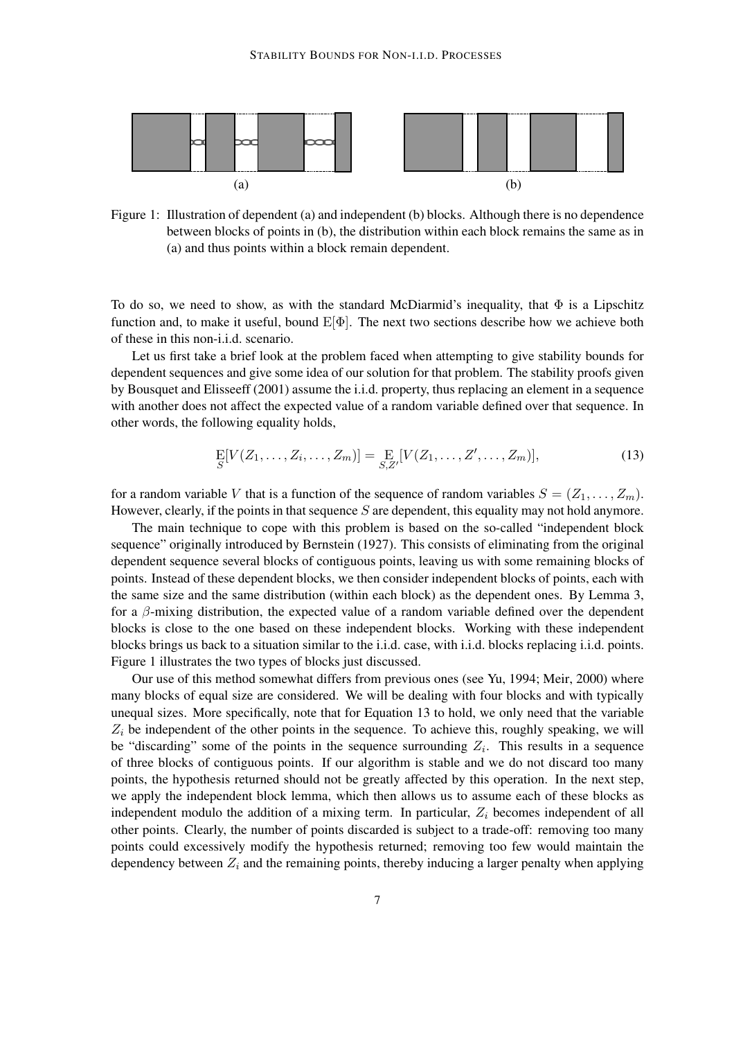

Figure 1: Illustration of dependent (a) and independent (b) blocks. Although there is no dependence between blocks of points in (b), the distribution within each block remains the same as in (a) and thus points within a block remain dependent.

To do so, we need to show, as with the standard McDiarmid's inequality, that  $\Phi$  is a Lipschitz function and, to make it useful, bound  $E[\Phi]$ . The next two sections describe how we achieve both of these in this non-i.i.d. scenario.

Let us first take a brief look at the problem faced when attempting to give stability bounds for dependent sequences and give some idea of our solution for that problem. The stability proofs given by Bousquet and Elisseeff (2001) assume the i.i.d. property, thus replacing an element in a sequence with another does not affect the expected value of a random variable defined over that sequence. In other words, the following equality holds,

$$
\mathop{\mathbf{E}}_{S}[V(Z_1,\ldots,Z_i,\ldots,Z_m)] = \mathop{\mathbf{E}}_{S,Z'}[V(Z_1,\ldots,Z',\ldots,Z_m)],\tag{13}
$$

for a random variable V that is a function of the sequence of random variables  $S = (Z_1, \ldots, Z_m)$ . However, clearly, if the points in that sequence  $S$  are dependent, this equality may not hold anymore.

The main technique to cope with this problem is based on the so-called "independent block sequence" originally introduced by Bernstein (1927). This consists of eliminating from the original dependent sequence several blocks of contiguous points, leaving us with some remaining blocks of points. Instead of these dependent blocks, we then consider independent blocks of points, each with the same size and the same distribution (within each block) as the dependent ones. By Lemma 3, for a  $\beta$ -mixing distribution, the expected value of a random variable defined over the dependent blocks is close to the one based on these independent blocks. Working with these independent blocks brings us back to a situation similar to the i.i.d. case, with i.i.d. blocks replacing i.i.d. points. Figure 1 illustrates the two types of blocks just discussed.

Our use of this method somewhat differs from previous ones (see Yu, 1994; Meir, 2000) where many blocks of equal size are considered. We will be dealing with four blocks and with typically unequal sizes. More specifically, note that for Equation 13 to hold, we only need that the variable  $Z_i$  be independent of the other points in the sequence. To achieve this, roughly speaking, we will be "discarding" some of the points in the sequence surrounding  $Z_i$ . This results in a sequence of three blocks of contiguous points. If our algorithm is stable and we do not discard too many points, the hypothesis returned should not be greatly affected by this operation. In the next step, we apply the independent block lemma, which then allows us to assume each of these blocks as independent modulo the addition of a mixing term. In particular,  $Z_i$  becomes independent of all other points. Clearly, the number of points discarded is subject to a trade-off: removing too many points could excessively modify the hypothesis returned; removing too few would maintain the dependency between  $Z_i$  and the remaining points, thereby inducing a larger penalty when applying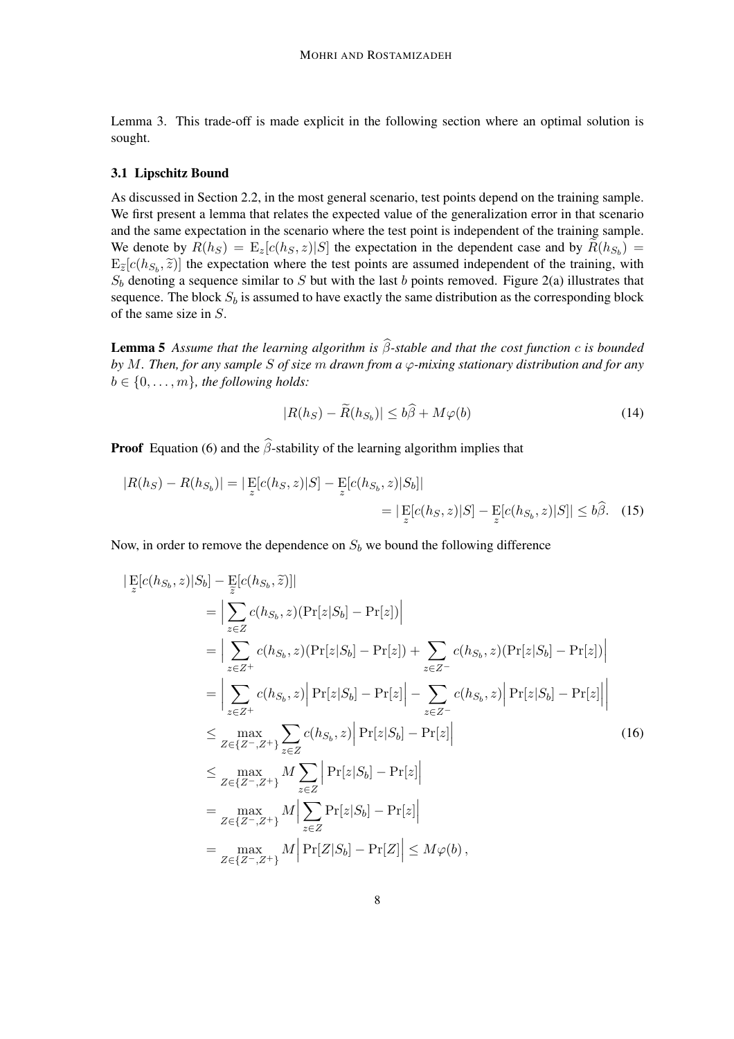Lemma 3. This trade-off is made explicit in the following section where an optimal solution is sought.

#### 3.1 Lipschitz Bound

As discussed in Section 2.2, in the most general scenario, test points depend on the training sample. We first present a lemma that relates the expected value of the generalization error in that scenario and the same expectation in the scenario where the test point is independent of the training sample. We denote by  $R(h_S) = \mathbb{E}_z[c(h_S, z)|S]$  the expectation in the dependent case and by  $R(h_{S_b}) =$  $E_{\tilde{z}}[c(h_{S_b}, \tilde{z})]$  the expectation where the test points are assumed independent of the training, with  $S_b$  denoting a sequence similar to S but with the last b points removed. Figure 2(a) illustrates that sequence. The block  $S_b$  is assumed to have exactly the same distribution as the corresponding block of the same size in S.

**Lemma 5** *Assume that the learning algorithm is*  $\hat{\beta}$ -stable and that the cost function c is bounded *by* M*. Then, for any sample* S *of size* m *drawn from a* ϕ*-mixing stationary distribution and for any*  $b \in \{0, \ldots, m\}$ , the following holds:

$$
|R(h_S) - \widetilde{R}(h_{S_b})| \le b\widehat{\beta} + M\varphi(b)
$$
\n(14)

**Proof** Equation (6) and the  $\hat{\beta}$ -stability of the learning algorithm implies that

$$
|R(h_S) - R(h_{S_b})| = |\mathop{\mathbb{E}}_z[c(h_S, z)|S] - \mathop{\mathbb{E}}_z[c(h_{S_b}, z)|S_b]|
$$
  

$$
= |\mathop{\mathbb{E}}_z[c(h_S, z)|S] - \mathop{\mathbb{E}}_z[c(h_{S_b}, z)|S]| \le b\hat{\beta}.
$$
 (15)

Now, in order to remove the dependence on  $S_b$  we bound the following difference

$$
\begin{split}\n|\mathbf{E}[c(h_{S_{b}}, z)|S_{b}] - \mathbf{E}[c(h_{S_{b}}, \tilde{z})] \| \\
&= \Big| \sum_{z \in Z} c(h_{S_{b}}, z)(\Pr[z|S_{b}] - \Pr[z]) \Big| \\
&= \Big| \sum_{z \in Z^{+}} c(h_{S_{b}}, z)(\Pr[z|S_{b}] - \Pr[z]) + \sum_{z \in Z^{-}} c(h_{S_{b}}, z)(\Pr[z|S_{b}] - \Pr[z]) \Big| \\
&= \Big| \sum_{z \in Z^{+}} c(h_{S_{b}}, z) \Big| \Pr[z|S_{b}] - \Pr[z] \Big| - \sum_{z \in Z^{-}} c(h_{S_{b}}, z) \Big| \Pr[z|S_{b}] - \Pr[z] \Big| \\
&\leq \max_{Z \in \{Z^{-}, Z^{+}\}} \sum_{z \in Z} c(h_{S_{b}}, z) \Big| \Pr[z|S_{b}] - \Pr[z] \Big| \\
&\leq \max_{Z \in \{Z^{-}, Z^{+}\}} M \sum_{z \in Z} \Big| \Pr[z|S_{b}] - \Pr[z] \Big| \\
&= \max_{Z \in \{Z^{-}, Z^{+}\}} M \Big| \sum_{z \in Z} \Pr[z|S_{b}] - \Pr[z] \Big| \\
&= \max_{Z \in \{Z^{-}, Z^{+}\}} M \Big| \Pr[Z|S_{b}] - \Pr[Z] \Big| \leq M \varphi(b),\n\end{split}
$$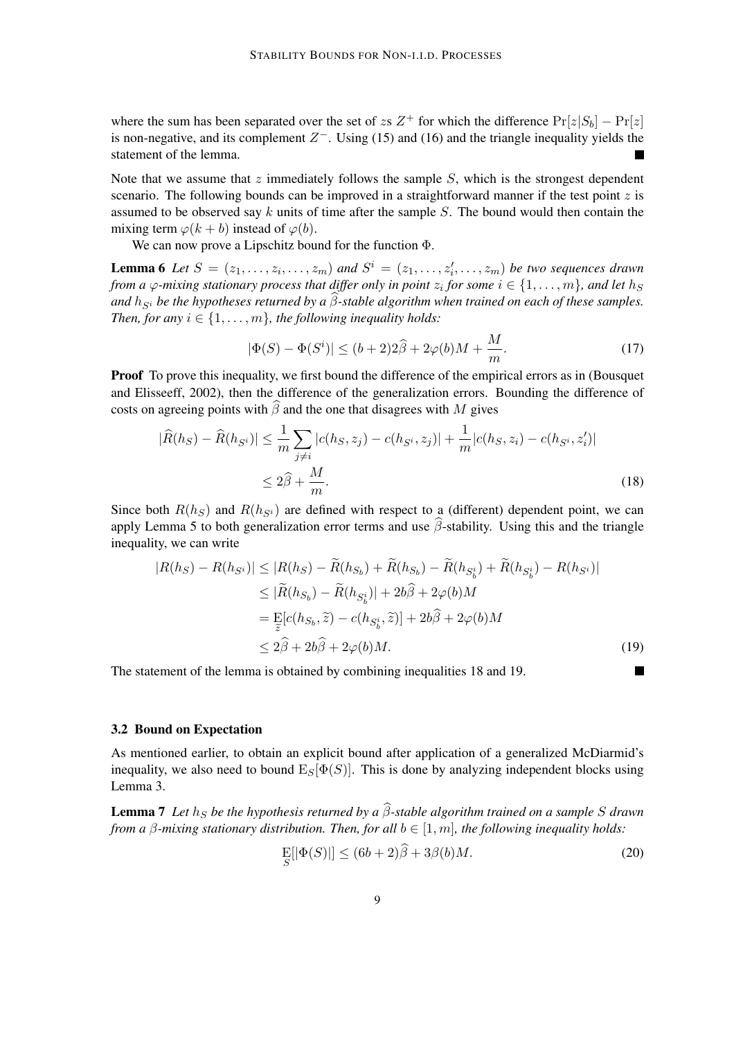where the sum has been separated over the set of zs  $Z^+$  for which the difference  $Pr[z|S_b] - Pr[z]$ is non-negative, and its complement  $Z^-$ . Using (15) and (16) and the triangle inequality yields the statement of the lemma.

Note that we assume that  $z$  immediately follows the sample  $S$ , which is the strongest dependent scenario. The following bounds can be improved in a straightforward manner if the test point  $z$  is assumed to be observed say k units of time after the sample  $S$ . The bound would then contain the mixing term  $\varphi(k + b)$  instead of  $\varphi(b)$ .

We can now prove a Lipschitz bound for the function Φ.

**Lemma 6** Let  $S = (z_1, \ldots, z_i, \ldots, z_m)$  and  $S^i = (z_1, \ldots, z'_i, \ldots, z_m)$  be two sequences drawn *from a*  $\varphi$ *-mixing stationary process that differ only in point*  $z_i$  *for some*  $i \in \{1, \ldots, m\}$ *, and let*  $h_S$ *and*  $h_{S_i}$  *be the hypotheses returned by a*  $\beta$ -stable algorithm when trained on each of these samples. *Then, for any*  $i \in \{1, \ldots, m\}$ *, the following inequality holds:* 

$$
|\Phi(S) - \Phi(S^i)| \le (b+2)2\widehat{\beta} + 2\varphi(b)M + \frac{M}{m}.\tag{17}
$$

Proof To prove this inequality, we first bound the difference of the empirical errors as in (Bousquet and Elisseeff, 2002), then the difference of the generalization errors. Bounding the difference of costs on agreeing points with  $\widehat{\beta}$  and the one that disagrees with M gives

$$
|\widehat{R}(h_S) - \widehat{R}(h_{S^i})| \le \frac{1}{m} \sum_{j \ne i} |c(h_S, z_j) - c(h_{S^i}, z_j)| + \frac{1}{m} |c(h_S, z_i) - c(h_{S^i}, z'_i)|
$$
  

$$
\le 2\widehat{\beta} + \frac{M}{m}.
$$
 (18)

Since both  $R(h<sub>S</sub>)$  and  $R(h<sub>S</sub>)$  are defined with respect to a (different) dependent point, we can apply Lemma 5 to both generalization error terms and use  $\hat{\beta}$ -stability. Using this and the triangle inequality, we can write

$$
|R(h_S) - R(h_{S^i})| \le |R(h_S) - \widetilde{R}(h_{S_b}) + \widetilde{R}(h_{S_b}) - \widetilde{R}(h_{S_b^i}) + \widetilde{R}(h_{S_b^i}) - R(h_{S^i})|
$$
  
\n
$$
\le |\widetilde{R}(h_{S_b}) - \widetilde{R}(h_{S_b^i})| + 2b\widehat{\beta} + 2\varphi(b)M
$$
  
\n
$$
= \sum_{\widetilde{z}} [c(h_{S_b}, \widetilde{z}) - c(h_{S_b^i}, \widetilde{z})] + 2b\widehat{\beta} + 2\varphi(b)M
$$
  
\n
$$
\le 2\widehat{\beta} + 2b\widehat{\beta} + 2\varphi(b)M.
$$
 (19)

The statement of the lemma is obtained by combining inequalities 18 and 19.

#### 3.2 Bound on Expectation

As mentioned earlier, to obtain an explicit bound after application of a generalized McDiarmid's inequality, we also need to bound  $E_S[\Phi(S)]$ . This is done by analyzing independent blocks using Lemma 3.

**Lemma 7** *Let*  $h_S$  *be the hypothesis returned by a*  $\widehat{\beta}$ -stable algorithm trained on a sample S drawn *from a*  $\beta$ *-mixing stationary distribution. Then, for all*  $b \in [1, m]$ *, the following inequality holds:* 

$$
\mathop{\mathrm{E}}_{S}[\left|\Phi(S)\right|] \le (6b+2)\beta + 3\beta(b)M. \tag{20}
$$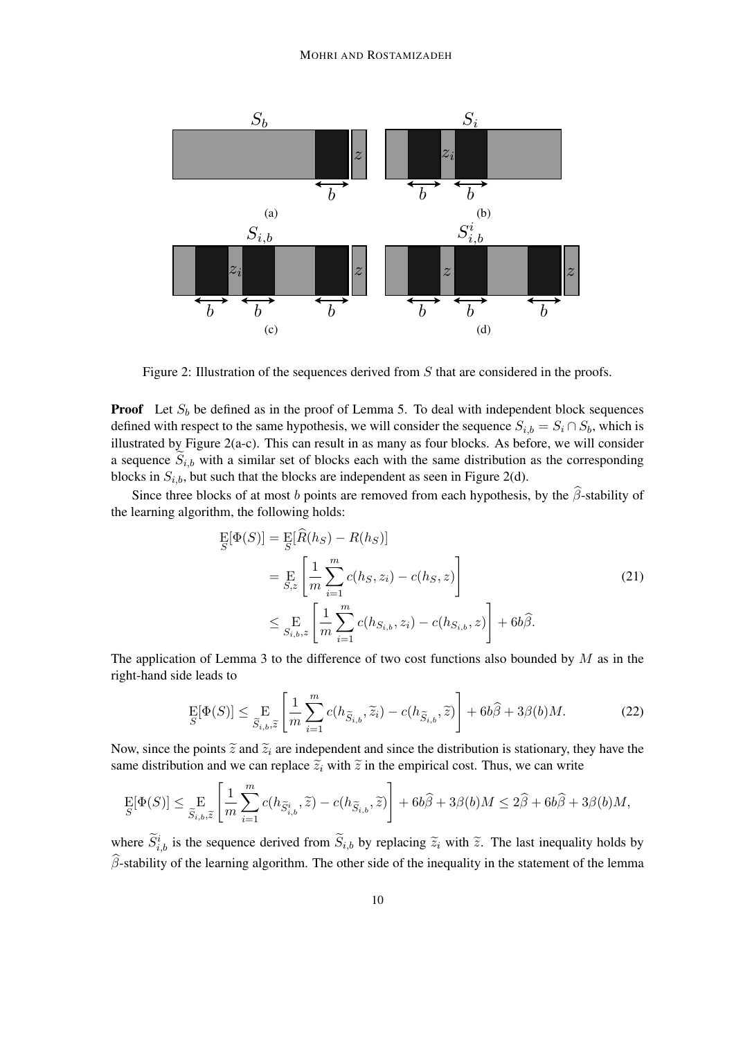

Figure 2: Illustration of the sequences derived from S that are considered in the proofs.

**Proof** Let  $S_b$  be defined as in the proof of Lemma 5. To deal with independent block sequences defined with respect to the same hypothesis, we will consider the sequence  $S_{i,b} = S_i \cap S_b$ , which is illustrated by Figure 2(a-c). This can result in as many as four blocks. As before, we will consider a sequence  $S_{i,b}$  with a similar set of blocks each with the same distribution as the corresponding blocks in  $S_{i,b}$ , but such that the blocks are independent as seen in Figure 2(d).

Since three blocks of at most b points are removed from each hypothesis, by the  $\hat{\beta}$ -stability of the learning algorithm, the following holds:

$$
\begin{split} \mathcal{E}[\Phi(S)] &= \mathcal{E}[\hat{R}(h_S) - R(h_S)] \\ &= \mathcal{E}\left[\frac{1}{m} \sum_{i=1}^{m} c(h_S, z_i) - c(h_S, z)\right] \\ &\le \mathcal{E}\left[\frac{1}{m} \sum_{i=1}^{m} c(h_{S_{i,b}}, z_i) - c(h_{S_{i,b}}, z)\right] + 6b\hat{\beta}. \end{split} \tag{21}
$$

The application of Lemma 3 to the difference of two cost functions also bounded by  $M$  as in the right-hand side leads to

$$
\mathop{\mathrm{E}}_S[\Phi(S)] \le \mathop{\mathrm{E}}_{\widetilde{S}_{i,b},\widetilde{z}} \left[ \frac{1}{m} \sum_{i=1}^m c(h_{\widetilde{S}_{i,b}},\widetilde{z}_i) - c(h_{\widetilde{S}_{i,b}},\widetilde{z}) \right] + 6b\widehat{\beta} + 3\beta(b)M. \tag{22}
$$

Now, since the points  $\tilde{z}$  and  $\tilde{z}_i$  are independent and since the distribution is stationary, they have the same distribution and we can replace  $\tilde{z}_i$  with  $\tilde{z}$  in the empirical cost. Thus, we can write

$$
\mathop{\mathrm{E}}_S[\Phi(S)] \leq \mathop{\mathrm{E}}_{\widetilde{S}_{i,b},\widetilde{z}}\left[\frac{1}{m}\sum_{i=1}^m c(h_{\widetilde{S}_{i,b}^i},\widetilde{z}) - c(h_{\widetilde{S}_{i,b}},\widetilde{z})\right] + 6b\widehat{\beta} + 3\beta(b)M \leq 2\widehat{\beta} + 6b\widehat{\beta} + 3\beta(b)M,
$$

where  $\tilde{S}_{i,b}^i$  is the sequence derived from  $\tilde{S}_{i,b}$  by replacing  $\tilde{z}_i$  with  $\tilde{z}$ . The last inequality holds by  $\widehat{\beta}$ -stability of the learning algorithm. The other side of the inequality in the statement of the lemma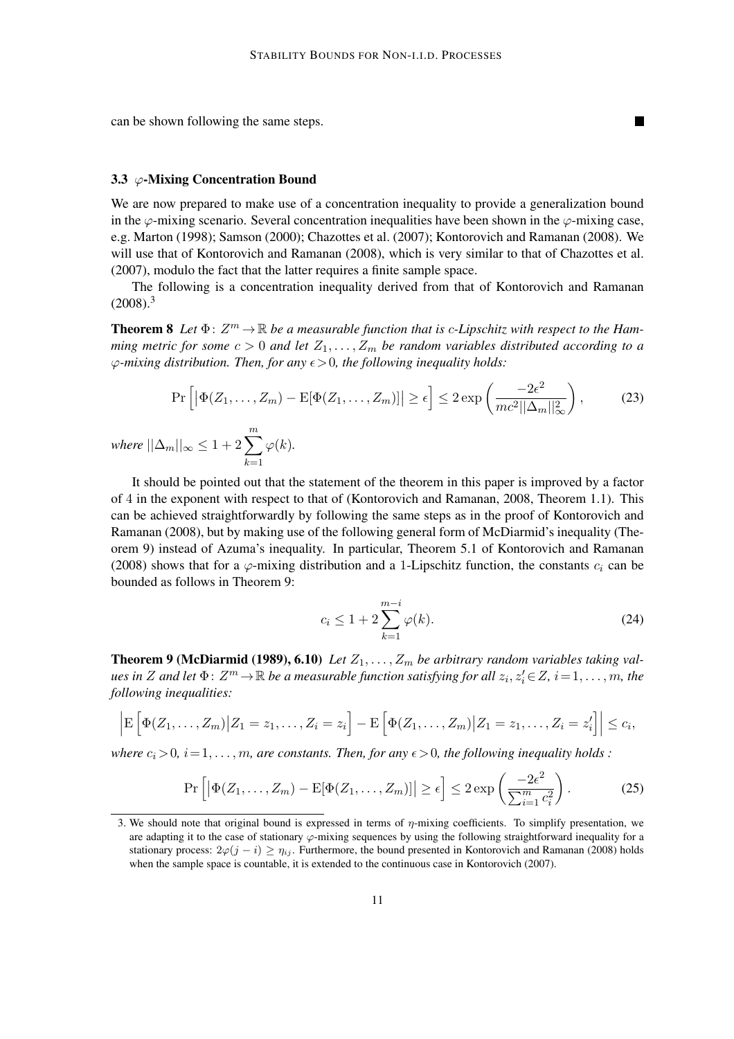can be shown following the same steps.

#### 3.3  $\varphi$ -Mixing Concentration Bound

We are now prepared to make use of a concentration inequality to provide a generalization bound in the  $\varphi$ -mixing scenario. Several concentration inequalities have been shown in the  $\varphi$ -mixing case, e.g. Marton (1998); Samson (2000); Chazottes et al. (2007); Kontorovich and Ramanan (2008). We will use that of Kontorovich and Ramanan (2008), which is very similar to that of Chazottes et al. (2007), modulo the fact that the latter requires a finite sample space.

The following is a concentration inequality derived from that of Kontorovich and Ramanan  $(2008).<sup>3</sup>$ 

**Theorem 8** Let  $\Phi: Z^m \to \mathbb{R}$  be a measurable function that is c-Lipschitz with respect to the Ham*ming metric for some*  $c > 0$  *and let*  $Z_1, \ldots, Z_m$  *be random variables distributed according to a*  $\varphi$ -mixing distribution. Then, for any  $\epsilon > 0$ , the following inequality holds:

$$
\Pr\left[\left|\Phi(Z_1,\ldots,Z_m) - \mathbb{E}[\Phi(Z_1,\ldots,Z_m)]\right| \ge \epsilon\right] \le 2\exp\left(\frac{-2\epsilon^2}{mc^2||\Delta_m||_\infty^2}\right),\tag{23}
$$

*where*  $||\Delta_m||_{\infty} \leq 1 + 2\sum^m$  $k=1$  $\varphi(k)$ .

It should be pointed out that the statement of the theorem in this paper is improved by a factor of 4 in the exponent with respect to that of (Kontorovich and Ramanan, 2008, Theorem 1.1). This can be achieved straightforwardly by following the same steps as in the proof of Kontorovich and Ramanan (2008), but by making use of the following general form of McDiarmid's inequality (Theorem 9) instead of Azuma's inequality. In particular, Theorem 5.1 of Kontorovich and Ramanan (2008) shows that for a  $\varphi$ -mixing distribution and a 1-Lipschitz function, the constants  $c_i$  can be bounded as follows in Theorem 9:

$$
c_i \le 1 + 2 \sum_{k=1}^{m-i} \varphi(k).
$$
 (24)

**Theorem 9 (McDiarmid (1989), 6.10)** Let  $Z_1, \ldots, Z_m$  be arbitrary random variables taking val $u$ es in  $Z$  and let  $\Phi\colon Z^m\!\to\! \mathbb{R}$  be a measurable function satisfying for all  $z_i, z'_i\!\in\! Z,$   $i\!=\!1,\ldots,m$ , the *following inequalities:*

$$
\left| \mathbb{E}\left[\Phi(Z_1,\ldots,Z_m) \big| Z_1=z_1,\ldots,Z_i=z_i\right] - \mathbb{E}\left[\Phi(Z_1,\ldots,Z_m) \big| Z_1=z_1,\ldots,Z_i=z'_i\right] \right| \leq c_i,
$$

*where*  $c_i > 0$ ,  $i = 1, \ldots, m$ , are constants. Then, for any  $\epsilon > 0$ , the following inequality holds :

$$
\Pr\left[\left|\Phi(Z_1,\ldots,Z_m) - \mathbb{E}[\Phi(Z_1,\ldots,Z_m)]\right| \geq \epsilon\right] \leq 2\exp\left(\frac{-2\epsilon^2}{\sum_{i=1}^m c_i^2}\right). \tag{25}
$$

<sup>3.</sup> We should note that original bound is expressed in terms of  $\eta$ -mixing coefficients. To simplify presentation, we are adapting it to the case of stationary  $\varphi$ -mixing sequences by using the following straightforward inequality for a stationary process:  $2\varphi(j - i) \ge \eta_{ij}$ . Furthermore, the bound presented in Kontorovich and Ramanan (2008) holds when the sample space is countable, it is extended to the continuous case in Kontorovich (2007).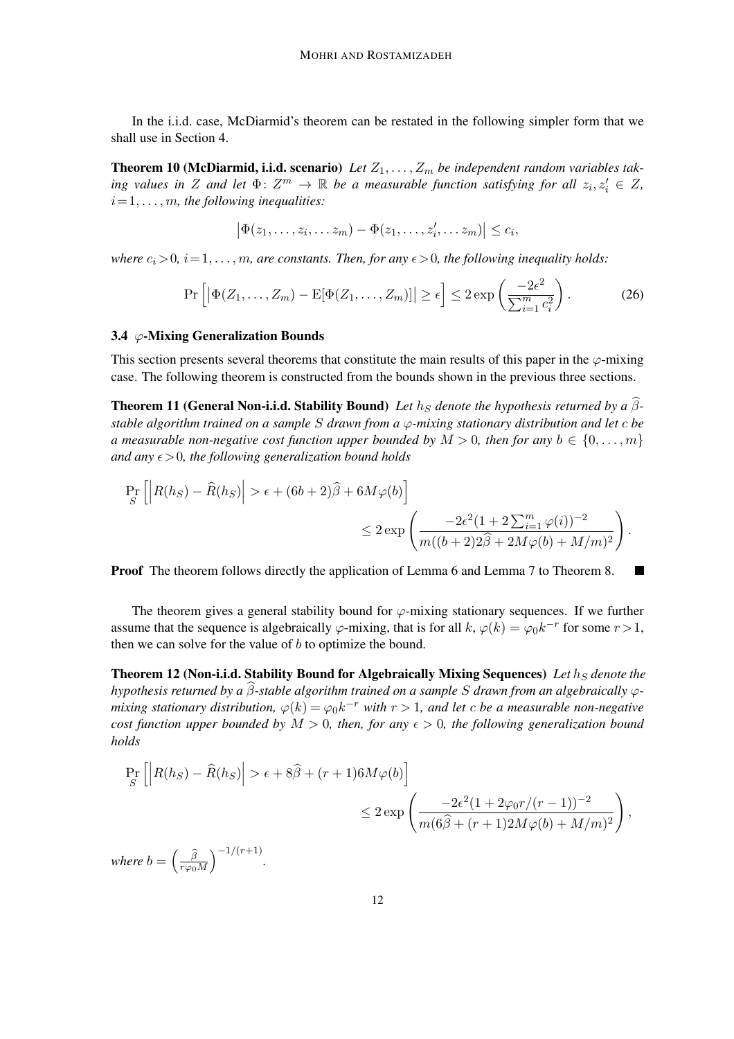In the i.i.d. case, McDiarmid's theorem can be restated in the following simpler form that we shall use in Section 4.

**Theorem 10 (McDiarmid, i.i.d. scenario)** Let  $Z_1, \ldots, Z_m$  be independent random variables tak*ing values in* Z and let  $\Phi: Z^m \to \mathbb{R}$  be a measurable function satisfying for all  $z_i, z'_i \in Z$ ,  $i=1,\ldots,m$ , the following inequalities:

$$
\big|\Phi(z_1,\ldots,z_i,\ldots z_m)-\Phi(z_1,\ldots,z_i',\ldots z_m)\big|\leq c_i,
$$

*where*  $c_i > 0$ ,  $i = 1, \ldots, m$ , are constants. Then, for any  $\epsilon > 0$ , the following inequality holds:

$$
\Pr\left[\left|\Phi(Z_1,\ldots,Z_m) - \mathbb{E}[\Phi(Z_1,\ldots,Z_m)]\right| \geq \epsilon\right] \leq 2\exp\left(\frac{-2\epsilon^2}{\sum_{i=1}^m c_i^2}\right). \tag{26}
$$

### 3.4  $\varphi$ -Mixing Generalization Bounds

This section presents several theorems that constitute the main results of this paper in the  $\varphi$ -mixing case. The following theorem is constructed from the bounds shown in the previous three sections.

**Theorem 11 (General Non-i.i.d. Stability Bound)** Let  $h<sub>S</sub>$  denote the hypothesis returned by a  $\hat{\beta}$ *stable algorithm trained on a sample* S *drawn from a* ϕ*-mixing stationary distribution and let* c *be a measurable non-negative cost function upper bounded by*  $M > 0$ *, then for any*  $b \in \{0, \ldots, m\}$ *and any*  $\epsilon > 0$ *, the following generalization bound holds* 

$$
\Pr_{S} \left[ \left| R(h_S) - \widehat{R}(h_S) \right| > \epsilon + (6b + 2)\widehat{\beta} + 6M\varphi(b) \right] \le 2 \exp\left( \frac{-2\epsilon^2 (1 + 2\sum_{i=1}^m \varphi(i))^{-2}}{m((b+2)2\widehat{\beta} + 2M\varphi(b) + M/m)^2} \right)
$$

.

**Proof** The theorem follows directly the application of Lemma 6 and Lemma 7 to Theorem 8.

The theorem gives a general stability bound for  $\varphi$ -mixing stationary sequences. If we further assume that the sequence is algebraically  $\varphi$ -mixing, that is for all  $k, \varphi(k) = \varphi_0 k^{-r}$  for some  $r > 1$ , then we can solve for the value of b to optimize the bound.

Theorem 12 (Non-i.i.d. Stability Bound for Algebraically Mixing Sequences) Let  $h<sub>S</sub>$  denote the *hypothesis returned by a*  $\hat{\beta}$ -stable algorithm trained on a sample *S* drawn from an algebraically  $\varphi$ *mixing stationary distribution,*  $\varphi(k) = \varphi_0 k^{-r}$  with  $r > 1$ , and let c be a measurable non-negative *cost function upper bounded by*  $M > 0$ *, then, for any*  $\epsilon > 0$ *, the following generalization bound holds*

$$
\Pr_{S} \left[ \left| R(h_{S}) - \widehat{R}(h_{S}) \right| > \epsilon + 8\widehat{\beta} + (r+1)6M\varphi(b) \right]
$$
  

$$
\leq 2 \exp\left( \frac{-2\epsilon^{2}(1 + 2\varphi_{0}r/(r-1))^{-2}}{m(6\widehat{\beta} + (r+1)2M\varphi(b) + M/m)^{2}} \right),
$$

*where*  $b = \left(\frac{\widehat{\beta}}{r\omega_0}\right)$  $r\varphi_0 M$  $\int$ <sup>-1/(r+1)</sup>.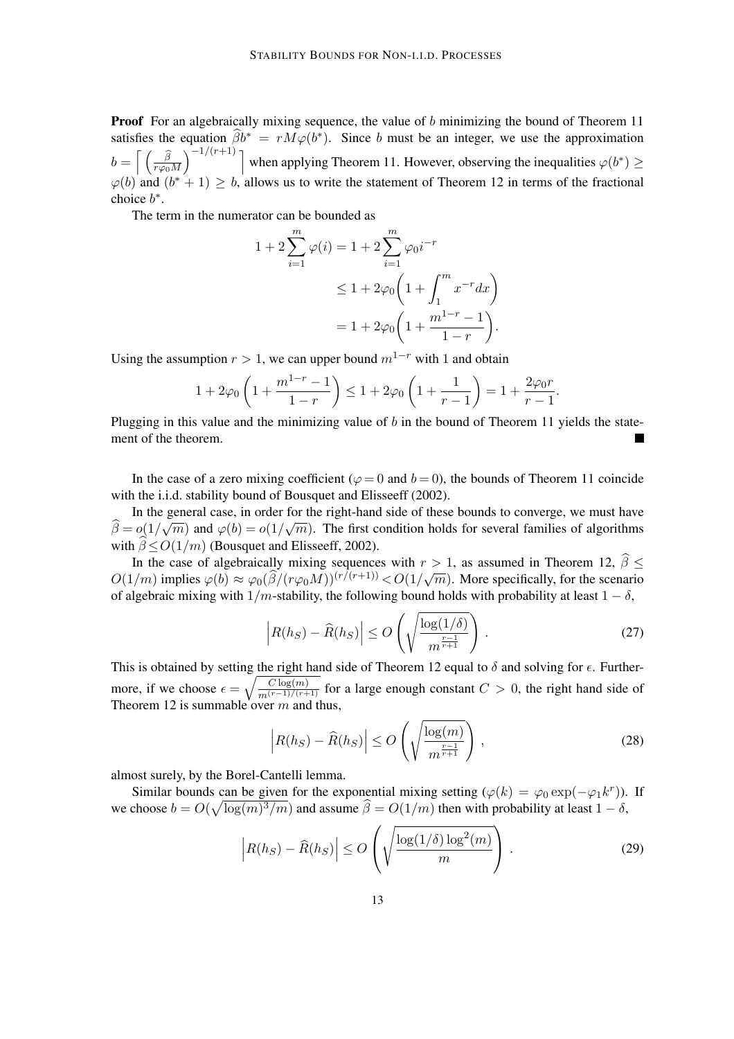**Proof** For an algebraically mixing sequence, the value of b minimizing the bound of Theorem 11 satisfies the equation  $\hat{\beta}b^* = rM\varphi(b^*)$ . Since b must be an integer, we use the approximation  $b = \left[ \begin{array}{c} \widehat{\beta} \\ \frac{1}{T(\widehat{\beta})} \end{array} \right]$  $r\varphi_0 M$  $\big\}^{-1/(r+1)}$ ] when applying Theorem 11. However, observing the inequalities  $\varphi(b^*) \geq$  $\varphi(b)$  and  $(b^* + 1) \ge b$ , allows us to write the statement of Theorem 12 in terms of the fractional choice  $b^*$ .

The term in the numerator can be bounded as

$$
1 + 2\sum_{i=1}^{m} \varphi(i) = 1 + 2\sum_{i=1}^{m} \varphi_0 i^{-r}
$$
  

$$
\leq 1 + 2\varphi_0 \left(1 + \int_1^m x^{-r} dx\right)
$$
  

$$
= 1 + 2\varphi_0 \left(1 + \frac{m^{1-r} - 1}{1 - r}\right).
$$

Using the assumption  $r > 1$ , we can upper bound  $m^{1-r}$  with 1 and obtain

$$
1 + 2\varphi_0 \left( 1 + \frac{m^{1-r} - 1}{1 - r} \right) \le 1 + 2\varphi_0 \left( 1 + \frac{1}{r - 1} \right) = 1 + \frac{2\varphi_0 r}{r - 1}.
$$

Plugging in this value and the minimizing value of  $b$  in the bound of Theorem 11 yields the statement of the theorem.  $\blacksquare$ 

In the case of a zero mixing coefficient ( $\varphi = 0$  and  $b = 0$ ), the bounds of Theorem 11 coincide with the i.i.d. stability bound of Bousquet and Elisseeff (2002).

In the general case, in order for the right-hand side of these bounds to converge, we must have  $\hat{\beta} = o(1/\sqrt{m})$  and  $\varphi(b) = o(1/\sqrt{m})$ . The first condition holds for several families of algorithms with  $\widehat{\beta} < O(1/m)$  (Bousquet and Elisseeff, 2002).

In the case of algebraically mixing sequences with  $r > 1$ , as assumed in Theorem 12,  $\beta \le$  $O(1/m)$  implies  $\varphi(b) \approx \varphi_0(\widehat{\beta}/(r\varphi_0 M))^{(r/(r+1))} < O(1/\sqrt{m})$ . More specifically, for the scenario of algebraic mixing with  $1/m$ -stability, the following bound holds with probability at least  $1 - \delta$ ,

$$
\left| R(h_S) - \widehat{R}(h_S) \right| \le O\left(\sqrt{\frac{\log(1/\delta)}{m^{\frac{r-1}{r+1}}}}\right). \tag{27}
$$

This is obtained by setting the right hand side of Theorem 12 equal to  $\delta$  and solving for  $\epsilon$ . Furthermore, if we choose  $\epsilon = \sqrt{\frac{C \log(m)}{m^{(r-1)/(r+1)}}}$  for a large enough constant  $C > 0$ , the right hand side of Theorem 12 is summable over  $m$  and thus,

$$
\left| R(h_S) - \widehat{R}(h_S) \right| \le O\left(\sqrt{\frac{\log(m)}{m^{\frac{r-1}{r+1}}}}\right),\tag{28}
$$

almost surely, by the Borel-Cantelli lemma.

Similar bounds can be given for the exponential mixing setting  $(\varphi(k) = \varphi_0 \exp(-\varphi_1 k^r))$ . If we choose  $b = O(\sqrt{\log(m)^3/m})$  and assume  $\widehat{\beta} = O(1/m)$  then with probability at least  $1 - \delta$ ,

$$
\left| R(h_S) - \widehat{R}(h_S) \right| \le O\left( \sqrt{\frac{\log(1/\delta)\log^2(m)}{m}} \right). \tag{29}
$$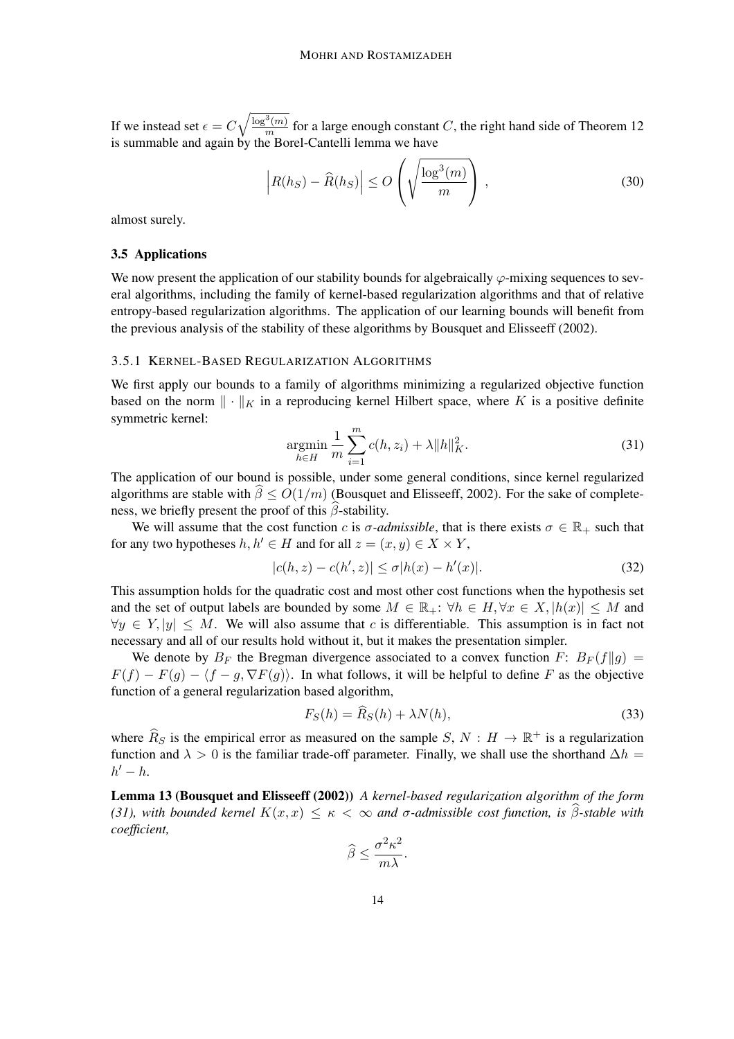If we instead set  $\epsilon = C$  $\sqrt{\log^3(m)}$  $\frac{f(m)}{m}$  for a large enough constant C, the right hand side of Theorem 12 is summable and again by the Borel-Cantelli lemma we have

$$
\left| R(h_S) - \widehat{R}(h_S) \right| \le O\left(\sqrt{\frac{\log^3(m)}{m}}\right),\tag{30}
$$

almost surely.

## 3.5 Applications

We now present the application of our stability bounds for algebraically  $\varphi$ -mixing sequences to several algorithms, including the family of kernel-based regularization algorithms and that of relative entropy-based regularization algorithms. The application of our learning bounds will benefit from the previous analysis of the stability of these algorithms by Bousquet and Elisseeff (2002).

## 3.5.1 KERNEL-BASED REGULARIZATION ALGORITHMS

We first apply our bounds to a family of algorithms minimizing a regularized objective function based on the norm  $\|\cdot\|_K$  in a reproducing kernel Hilbert space, where K is a positive definite symmetric kernel:

$$
\underset{h \in H}{\text{argmin}} \frac{1}{m} \sum_{i=1}^{m} c(h, z_i) + \lambda \|h\|_{K}^{2}.
$$
 (31)

The application of our bound is possible, under some general conditions, since kernel regularized algorithms are stable with  $\hat{\beta} \le O(1/m)$  (Bousquet and Elisseeff, 2002). For the sake of completeness, we briefly present the proof of this  $\hat{\beta}$ -stability.

We will assume that the cost function c is  $\sigma$ -*admissible*, that is there exists  $\sigma \in \mathbb{R}_+$  such that for any two hypotheses  $h, h' \in H$  and for all  $z = (x, y) \in X \times Y$ ,

$$
|c(h, z) - c(h', z)| \le \sigma |h(x) - h'(x)|.
$$
 (32)

This assumption holds for the quadratic cost and most other cost functions when the hypothesis set and the set of output labels are bounded by some  $M \in \mathbb{R}_+$ :  $\forall h \in H$ ,  $\forall x \in X$ ,  $|h(x)| \leq M$  and  $\forall y \in Y, |y| \leq M$ . We will also assume that c is differentiable. This assumption is in fact not necessary and all of our results hold without it, but it makes the presentation simpler.

We denote by  $B_F$  the Bregman divergence associated to a convex function F:  $B_F(f||g)$  =  $F(f) - F(g) - \langle f - g, \nabla F(g) \rangle$ . In what follows, it will be helpful to define F as the objective function of a general regularization based algorithm,

$$
F_S(h) = \hat{R}_S(h) + \lambda N(h),\tag{33}
$$

where  $\widehat{R}_S$  is the empirical error as measured on the sample S,  $N : H \to \mathbb{R}^+$  is a regularization function and  $\lambda > 0$  is the familiar trade-off parameter. Finally, we shall use the shorthand  $\Delta h =$  $h'-h$ .

Lemma 13 (Bousquet and Elisseeff (2002)) *A kernel-based regularization algorithm of the form (31), with bounded kernel*  $K(x, x) \leq \kappa < \infty$  *and* σ-*admissible cost function, is*  $\widehat{\beta}$ -*stable with coefficient,*

$$
\widehat{\beta} \le \frac{\sigma^2 \kappa^2}{m \lambda}.
$$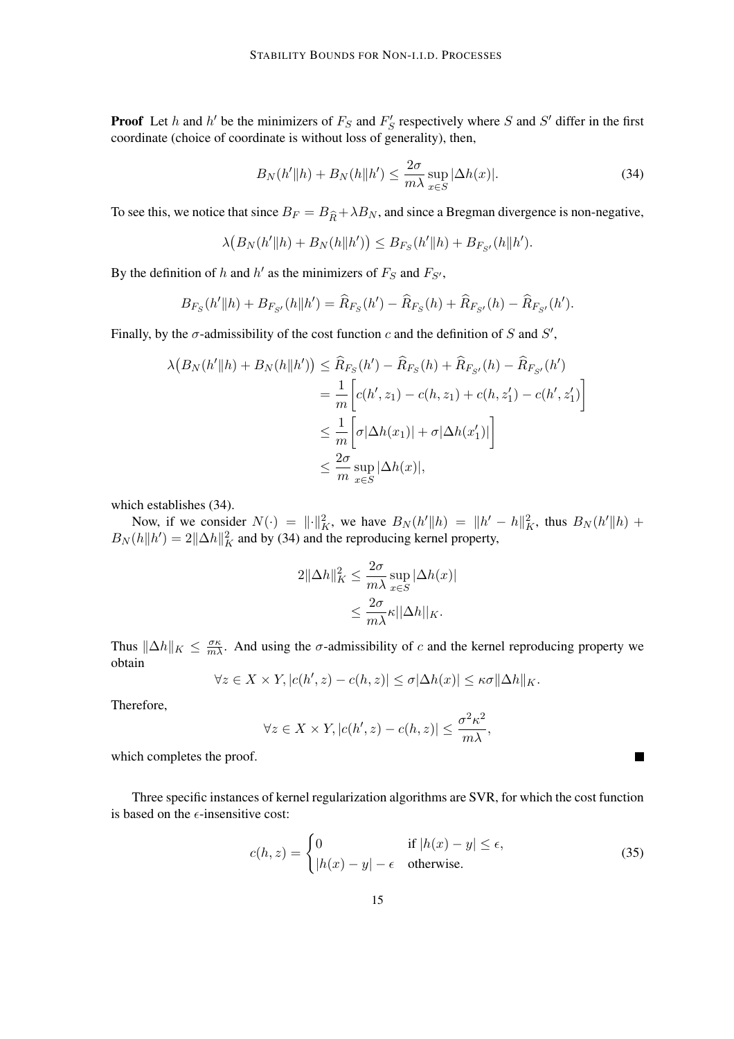**Proof** Let h and h' be the minimizers of  $F_S$  and  $F'_S$  respectively where S and S' differ in the first coordinate (choice of coordinate is without loss of generality), then,

$$
B_N(h'||h) + B_N(h||h') \le \frac{2\sigma}{m\lambda} \sup_{x \in S} |\Delta h(x)|. \tag{34}
$$

To see this, we notice that since  $B_F = B_{\hat{R}} + \lambda B_N$ , and since a Bregman divergence is non-negative,

$$
\lambda (B_N(h'||h) + B_N(h||h')) \leq B_{F_S}(h'||h) + B_{F_{S'}}(h||h').
$$

By the definition of h and h' as the minimizers of  $F_S$  and  $F_{S'}$ ,

$$
B_{F_S}(h'||h) + B_{F_{S'}}(h||h') = \widehat{R}_{F_S}(h') - \widehat{R}_{F_S}(h) + \widehat{R}_{F_{S'}}(h) - \widehat{R}_{F_{S'}}(h').
$$

Finally, by the  $\sigma$ -admissibility of the cost function c and the definition of S and S',

$$
\lambda \left( B_N(h'||h) + B_N(h||h') \right) \leq \widehat{R}_{F_S}(h') - \widehat{R}_{F_S}(h) + \widehat{R}_{F_{S'}}(h) - \widehat{R}_{F_{S'}}(h')
$$
  
= 
$$
\frac{1}{m} \left[ c(h', z_1) - c(h, z_1) + c(h, z_1') - c(h', z_1') \right]
$$
  

$$
\leq \frac{1}{m} \left[ \sigma |\Delta h(x_1)| + \sigma |\Delta h(x_1')| \right]
$$
  

$$
\leq \frac{2\sigma}{m} \sup_{x \in S} |\Delta h(x)|,
$$

which establishes (34).

Now, if we consider  $N(\cdot) = ||\cdot||_K^2$ , we have  $B_N(h'||h) = ||h' - h||_K^2$ , thus  $B_N(h'||h) +$  $B_N(h||h') = 2||\Delta h||_K^2$  and by (34) and the reproducing kernel property,

$$
2\|\Delta h\|_{K}^{2} \le \frac{2\sigma}{m\lambda} \sup_{x \in S} |\Delta h(x)|
$$
  

$$
\le \frac{2\sigma}{m\lambda} \kappa ||\Delta h||_{K}.
$$

Thus  $\|\Delta h\|_K \leq \frac{\sigma \kappa}{m\lambda}$ . And using the  $\sigma$ -admissibility of c and the kernel reproducing property we obtain

$$
\forall z \in X \times Y, |c(h', z) - c(h, z)| \le \sigma |\Delta h(x)| \le \kappa \sigma ||\Delta h||_K.
$$

Therefore,

$$
\forall z \in X \times Y, |c(h', z) - c(h, z)| \le \frac{\sigma^2 \kappa^2}{m\lambda},
$$

which completes the proof.

Three specific instances of kernel regularization algorithms are SVR, for which the cost function is based on the  $\epsilon$ -insensitive cost:

$$
c(h, z) = \begin{cases} 0 & \text{if } |h(x) - y| \le \epsilon, \\ |h(x) - y| - \epsilon & \text{otherwise.} \end{cases}
$$
(35)

ш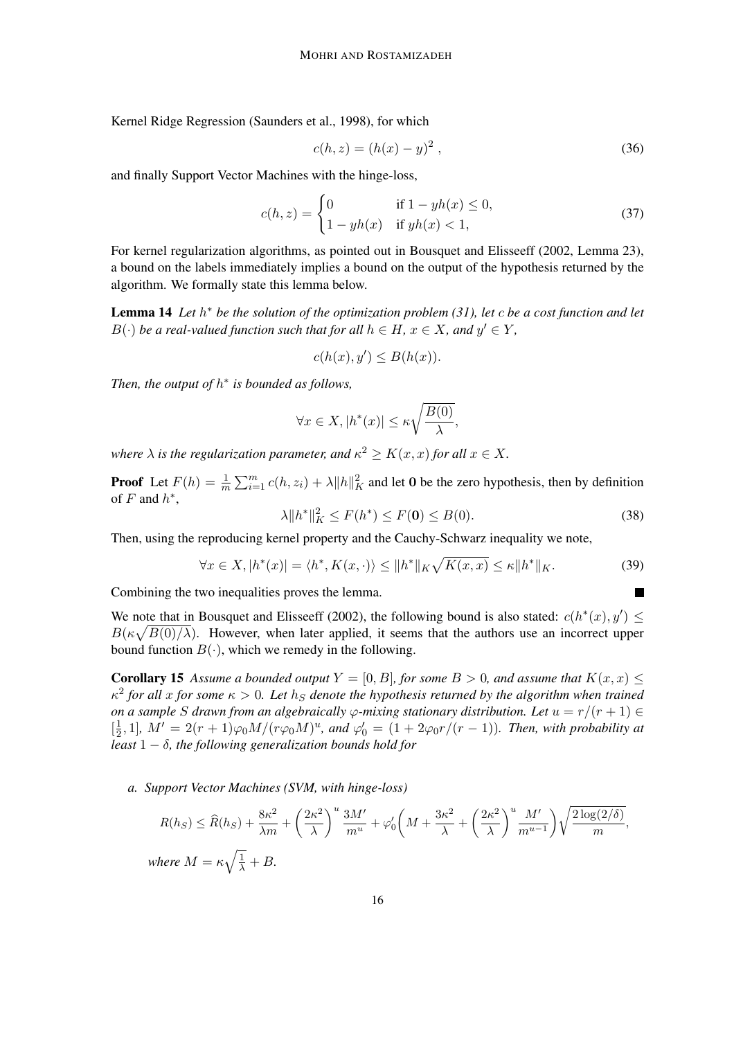Kernel Ridge Regression (Saunders et al., 1998), for which

$$
c(h, z) = (h(x) - y)^2,
$$
\n(36)

and finally Support Vector Machines with the hinge-loss,

$$
c(h, z) = \begin{cases} 0 & \text{if } 1 - yh(x) \le 0, \\ 1 - yh(x) & \text{if } yh(x) < 1, \end{cases}
$$
 (37)

For kernel regularization algorithms, as pointed out in Bousquet and Elisseeff (2002, Lemma 23), a bound on the labels immediately implies a bound on the output of the hypothesis returned by the algorithm. We formally state this lemma below.

Lemma 14 *Let* h <sup>∗</sup> *be the solution of the optimization problem (31), let* c *be a cost function and let*  $B(\cdot)$  *be a real-valued function such that for all*  $h \in H$ *,*  $x \in X$ *, and*  $y' \in Y$ *,* 

$$
c(h(x), y') \le B(h(x)).
$$

*Then, the output of* h ∗ *is bounded as follows,*

$$
\forall x \in X, |h^*(x)| \le \kappa \sqrt{\frac{B(0)}{\lambda}},
$$

where  $\lambda$  is the regularization parameter, and  $\kappa^2 \geq K(x,x)$  for all  $x \in X$ .

**Proof** Let  $F(h) = \frac{1}{m} \sum_{i=1}^{m} c(h, z_i) + \lambda ||h||_K^2$  and let 0 be the zero hypothesis, then by definition of  $F$  and  $h^*$ ,

$$
\lambda \|h^*\|_K^2 \le F(h^*) \le F(\mathbf{0}) \le B(0). \tag{38}
$$

 $\blacksquare$ 

Then, using the reproducing kernel property and the Cauchy-Schwarz inequality we note,

$$
\forall x \in X, |h^*(x)| = \langle h^*, K(x, \cdot) \rangle \le ||h^*||_K \sqrt{K(x, x)} \le \kappa ||h^*||_K. \tag{39}
$$

Combining the two inequalities proves the lemma.

We note that in Bousquet and Elisseeff (2002), the following bound is also stated:  $c(h^*(x), y') \le$  $B(\kappa\sqrt{B(0)/\lambda})$ . However, when later applied, it seems that the authors use an incorrect upper bound function  $B(\cdot)$ , which we remedy in the following.

**Corollary 15** Assume a bounded output  $Y = [0, B]$ , for some  $B > 0$ , and assume that  $K(x, x) \leq$  $\kappa^2$  for all x for some  $\kappa > 0$ . Let  $h_S$  denote the hypothesis returned by the algorithm when trained *on a sample* S drawn from an algebraically  $\varphi$ -mixing stationary distribution. Let  $u = r/(r + 1) \in$  $\left[\frac{1}{2}\right]$  $\frac{1}{2}$ , 1],  $M' = 2(r + 1)\varphi_0 M/(r\varphi_0 M)^u$ , and  $\varphi'_0 = (1 + 2\varphi_0 r/(r - 1))$ . Then, with probability at *least* 1 − δ*, the following generalization bounds hold for*

*a. Support Vector Machines (SVM, with hinge-loss)*

$$
R(h_S) \le \widehat{R}(h_S) + \frac{8\kappa^2}{\lambda m} + \left(\frac{2\kappa^2}{\lambda}\right)^u \frac{3M'}{m^u} + \varphi_0' \left(M + \frac{3\kappa^2}{\lambda} + \left(\frac{2\kappa^2}{\lambda}\right)^u \frac{M'}{m^{u-1}}\right) \sqrt{\frac{2\log(2/\delta)}{m}},
$$
  
where  $M = \kappa \sqrt{\frac{1}{\lambda}} + B$ .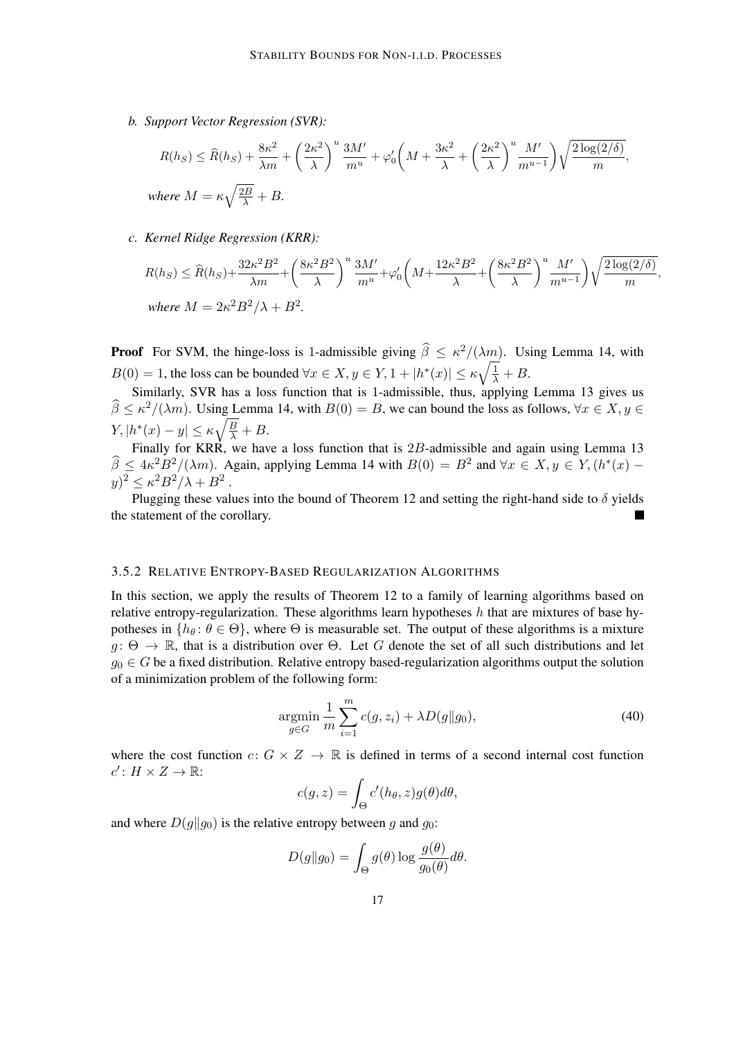*b. Support Vector Regression (SVR):*

$$
R(h_S) \le \widehat{R}(h_S) + \frac{8\kappa^2}{\lambda m} + \left(\frac{2\kappa^2}{\lambda}\right)^u \frac{3M'}{m^u} + \varphi_0' \left(M + \frac{3\kappa^2}{\lambda} + \left(\frac{2\kappa^2}{\lambda}\right)^u \frac{M'}{m^{u-1}}\right) \sqrt{\frac{2\log(2/\delta)}{m}},
$$
  
where  $M = \kappa \sqrt{\frac{2B}{\lambda}} + B$ .

*c. Kernel Ridge Regression (KRR):*

$$
R(h_S) \le \widehat{R}(h_S) + \frac{32\kappa^2 B^2}{\lambda m} + \left(\frac{8\kappa^2 B^2}{\lambda}\right)^u \frac{3M'}{m^u} + \varphi_0' \left(M + \frac{12\kappa^2 B^2}{\lambda} + \left(\frac{8\kappa^2 B^2}{\lambda}\right)^u \frac{M'}{m^{u-1}}\right) \sqrt{\frac{2\log(2/\delta)}{m}},
$$
  
where  $M = 2\kappa^2 B^2/\lambda + B^2$ .

**Proof** For SVM, the hinge-loss is 1-admissible giving  $\hat{\beta} \leq \kappa^2/(\lambda m)$ . Using Lemma 14, with  $B(0) = 1$ , the loss can be bounded  $\forall x \in X, y \in Y, 1 + |h^*(x)| \leq \kappa \sqrt{\frac{1}{\lambda}} + B$ .

Similarly, SVR has a loss function that is 1-admissible, thus, applying Lemma 13 gives us  $\widehat{\beta} \le \kappa^2/(\lambda m)$ . Using Lemma 14, with  $B(0) = B$ , we can bound the loss as follows,  $\forall x \in X, y \in \mathbb{R}$  $Y, |h^*(x) - y| \leq \kappa \sqrt{\frac{B}{\lambda}} + B.$ 

Finally for KRR, we have a loss function that is 2B-admissible and again using Lemma 13  $\widehat{\beta} \leq 4\kappa^2 B^2/(\lambda m)$ . Again, applying Lemma 14 with  $B(0) = B^2$  and  $\forall x \in X, y \in Y, (h^*(x)$  $y)^2 \le \kappa^2 B^2/\lambda + B^2$ .

Plugging these values into the bound of Theorem 12 and setting the right-hand side to  $\delta$  yields the statement of the corollary.

#### 3.5.2 RELATIVE ENTROPY-BASED REGULARIZATION ALGORITHMS

In this section, we apply the results of Theorem 12 to a family of learning algorithms based on relative entropy-regularization. These algorithms learn hypotheses  $h$  that are mixtures of base hypotheses in  $\{h_\theta: \theta \in \Theta\}$ , where  $\Theta$  is measurable set. The output of these algorithms is a mixture  $g: \Theta \to \mathbb{R}$ , that is a distribution over  $\Theta$ . Let G denote the set of all such distributions and let  $g_0 \in G$  be a fixed distribution. Relative entropy based-regularization algorithms output the solution of a minimization problem of the following form:

$$
\underset{g \in G}{\text{argmin}} \frac{1}{m} \sum_{i=1}^{m} c(g, z_i) + \lambda D(g||g_0),\tag{40}
$$

where the cost function  $c: G \times Z \to \mathbb{R}$  is defined in terms of a second internal cost function  $c' \colon H \times Z \to \mathbb{R}$ :

$$
c(g, z) = \int_{\Theta} c'(h_{\theta}, z) g(\theta) d\theta,
$$

and where  $D(g||g_0)$  is the relative entropy between g and  $g_0$ :

$$
D(g||g_0) = \int_{\Theta} g(\theta) \log \frac{g(\theta)}{g_0(\theta)} d\theta.
$$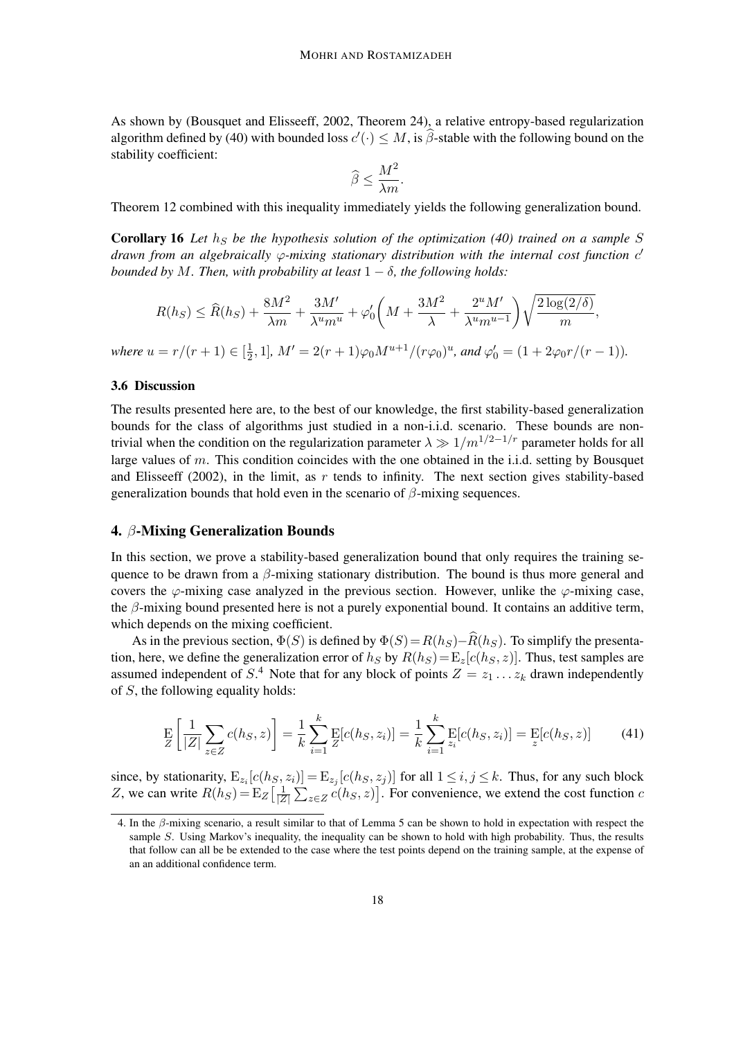As shown by (Bousquet and Elisseeff, 2002, Theorem 24), a relative entropy-based regularization algorithm defined by (40) with bounded loss  $c'(\cdot) \leq M$ , is  $\hat{\beta}$ -stable with the following bound on the stability coefficient:

$$
\widehat{\beta} \le \frac{M^2}{\lambda m}.
$$

Theorem 12 combined with this inequality immediately yields the following generalization bound.

Corollary 16 *Let*  $h<sub>S</sub>$  *be the hypothesis solution of the optimization (40) trained on a sample* S *drawn from an algebraically*  $\varphi$ *-mixing stationary distribution with the internal cost function c*<sup>*'*</sup> *bounded by M. Then, with probability at least*  $1 - \delta$ *, the following holds:* 

$$
R(h_S) \le \widehat{R}(h_S) + \frac{8M^2}{\lambda m} + \frac{3M'}{\lambda^u m^u} + \varphi_0' \left(M + \frac{3M^2}{\lambda} + \frac{2^u M'}{\lambda^u m^{u-1}}\right) \sqrt{\frac{2\log(2/\delta)}{m}},
$$
  
where  $u = r/(r+1) \in [\frac{1}{2}, 1]$ ,  $M' = 2(r+1)\varphi_0 M^{u+1}/(r\varphi_0)^u$ , and  $\varphi_0' = (1 + 2\varphi_0 r/(r-1)).$ 

#### 3.6 Discussion

The results presented here are, to the best of our knowledge, the first stability-based generalization bounds for the class of algorithms just studied in a non-i.i.d. scenario. These bounds are nontrivial when the condition on the regularization parameter  $\lambda \gg 1/m^{1/2-1/r}$  parameter holds for all large values of m. This condition coincides with the one obtained in the i.i.d. setting by Bousquet and Elisseeff (2002), in the limit, as  $r$  tends to infinity. The next section gives stability-based generalization bounds that hold even in the scenario of  $\beta$ -mixing sequences.

#### 4. β-Mixing Generalization Bounds

In this section, we prove a stability-based generalization bound that only requires the training sequence to be drawn from a  $\beta$ -mixing stationary distribution. The bound is thus more general and covers the  $\varphi$ -mixing case analyzed in the previous section. However, unlike the  $\varphi$ -mixing case, the  $\beta$ -mixing bound presented here is not a purely exponential bound. It contains an additive term, which depends on the mixing coefficient.

As in the previous section,  $\Phi(S)$  is defined by  $\Phi(S)=R(h_S)-\widehat{R}(h_S)$ . To simplify the presentation, here, we define the generalization error of  $h<sub>S</sub>$  by  $R(h<sub>S</sub>) = E<sub>z</sub>[c(h<sub>S</sub>, z)]$ . Thus, test samples are assumed independent of  $S^4$ . Note that for any block of points  $Z = z_1 \dots z_k$  drawn independently of S, the following equality holds:

$$
\mathop{\mathbf{E}}_{Z}\left[\frac{1}{|Z|}\sum_{z\in Z}c(h_{S},z)\right] = \frac{1}{k}\sum_{i=1}^{k}\mathop{\mathbf{E}}_{Z}[c(h_{S},z_{i})] = \frac{1}{k}\sum_{i=1}^{k}\mathop{\mathbf{E}}_{z_{i}}[c(h_{S},z_{i})] = \mathop{\mathbf{E}}_{z}[c(h_{S},z)] \tag{41}
$$

since, by stationarity,  $E_{z_i}[c(h_s, z_i)] = E_{z_j}[c(h_s, z_j)]$  for all  $1 \le i, j \le k$ . Thus, for any such block Z, we can write  $R(h<sub>S</sub>) = \mathbb{E}_Z \left[ \frac{1}{|Z|} \right]$  $\frac{1}{|Z|} \sum_{z \in Z} c(h_S, z)$ . For convenience, we extend the cost function c

<sup>4.</sup> In the β-mixing scenario, a result similar to that of Lemma 5 can be shown to hold in expectation with respect the sample S. Using Markov's inequality, the inequality can be shown to hold with high probability. Thus, the results that follow can all be be extended to the case where the test points depend on the training sample, at the expense of an an additional confidence term.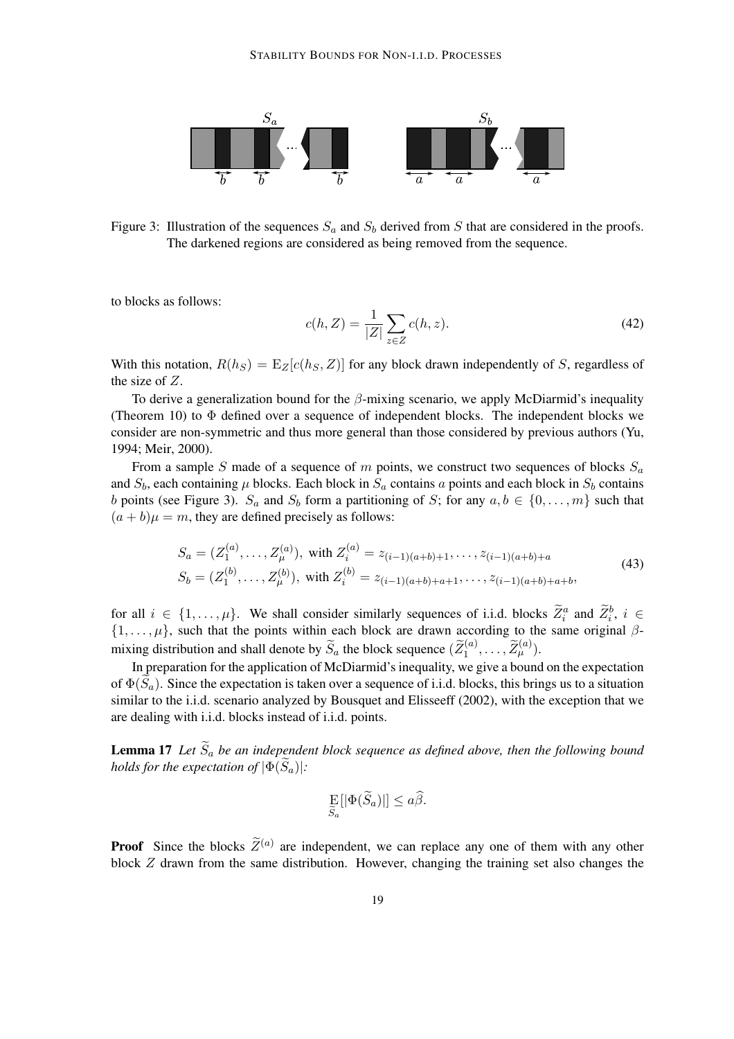

Figure 3: Illustration of the sequences  $S_a$  and  $S_b$  derived from S that are considered in the proofs. The darkened regions are considered as being removed from the sequence.

to blocks as follows:

$$
c(h, Z) = \frac{1}{|Z|} \sum_{z \in Z} c(h, z).
$$
 (42)

With this notation,  $R(h<sub>S</sub>) = E<sub>Z</sub>[c(h<sub>S</sub>, Z)]$  for any block drawn independently of S, regardless of the size of Z.

To derive a generalization bound for the  $\beta$ -mixing scenario, we apply McDiarmid's inequality (Theorem 10) to  $\Phi$  defined over a sequence of independent blocks. The independent blocks we consider are non-symmetric and thus more general than those considered by previous authors (Yu, 1994; Meir, 2000).

From a sample S made of a sequence of m points, we construct two sequences of blocks  $S_a$ and  $S_b$ , each containing  $\mu$  blocks. Each block in  $S_a$  contains a points and each block in  $S_b$  contains b points (see Figure 3).  $S_a$  and  $S_b$  form a partitioning of S; for any  $a, b \in \{0, \ldots, m\}$  such that  $(a + b)\mu = m$ , they are defined precisely as follows:

$$
S_a = (Z_1^{(a)}, \dots, Z_\mu^{(a)}), \text{ with } Z_i^{(a)} = z_{(i-1)(a+b)+1}, \dots, z_{(i-1)(a+b)+a}
$$
  
\n
$$
S_b = (Z_1^{(b)}, \dots, Z_\mu^{(b)}), \text{ with } Z_i^{(b)} = z_{(i-1)(a+b)+a+1}, \dots, z_{(i-1)(a+b)+a+b},
$$
\n
$$
(43)
$$

for all  $i \in \{1, \ldots, \mu\}$ . We shall consider similarly sequences of i.i.d. blocks  $Z_i^a$  and  $Z_i^b$ ,  $i \in$  $\{1,\ldots,\mu\}$ , such that the points within each block are drawn according to the same original  $\beta$ mixing distribution and shall denote by  $\widetilde{S}_a$  the block sequence  $(\widetilde{Z}_1^{(a)}, \ldots, \widetilde{Z}_{\mu}^{(a)})$ .

In preparation for the application of McDiarmid's inequality, we give a bound on the expectation of  $\Phi(\tilde{S}_a)$ . Since the expectation is taken over a sequence of i.i.d. blocks, this brings us to a situation similar to the i.i.d. scenario analyzed by Bousquet and Elisseeff (2002), with the exception that we are dealing with i.i.d. blocks instead of i.i.d. points.

**Lemma 17** Let  $\widetilde{S}_a$  be an independent block sequence as defined above, then the following bound *holds for the expectation of*  $|\Phi(\widetilde{S}_a)|$ *:* 

$$
\mathop{\mathrm{E}}_{\widetilde{S}_a}[|\Phi(\widetilde{S}_a)|] \le a\widehat{\beta}.
$$

**Proof** Since the blocks  $\widetilde{Z}^{(a)}$  are independent, we can replace any one of them with any other block Z drawn from the same distribution. However, changing the training set also changes the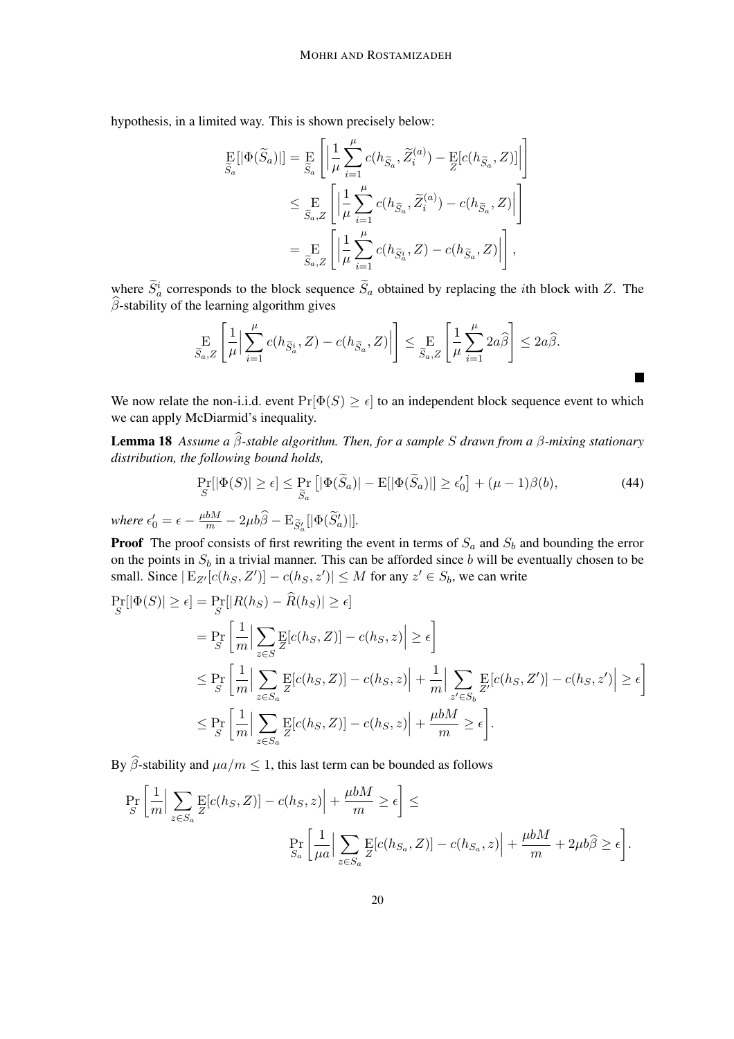hypothesis, in a limited way. This is shown precisely below:

$$
\begin{split} \mathop{\mathbf{E}}_{\widetilde{S}_a} [|\Phi(\widetilde{S}_a)|] & = \mathop{\mathbf{E}}_{\widetilde{S}_a} \left[ \left| \frac{1}{\mu} \sum_{i=1}^{\mu} c(h_{\widetilde{S}_a}, \widetilde{Z}_i^{(a)}) - \mathop{\mathbf{E}}_{Z} [c(h_{\widetilde{S}_a}, Z)] \right| \right] \\ & \leq \mathop{\mathbf{E}}_{\widetilde{S}_a, Z} \left[ \left| \frac{1}{\mu} \sum_{i=1}^{\mu} c(h_{\widetilde{S}_a}, \widetilde{Z}_i^{(a)}) - c(h_{\widetilde{S}_a}, Z) \right| \right] \\ & = \mathop{\mathbf{E}}_{\widetilde{S}_a, Z} \left[ \left| \frac{1}{\mu} \sum_{i=1}^{\mu} c(h_{\widetilde{S}_a^i}, Z) - c(h_{\widetilde{S}_a}, Z) \right| \right], \end{split}
$$

where  $\tilde{S}_a^i$  corresponds to the block sequence  $\tilde{S}_a$  obtained by replacing the *i*th block with Z. The  $\beta$ -stability of the learning algorithm gives

$$
\mathop{\mathbf{E}}_{\widetilde{S}_a,Z}\left[\frac{1}{\mu}\Big|\sum_{i=1}^{\mu}c(h_{\widetilde{S}_a^i},Z)-c(h_{\widetilde{S}_a},Z)\Big|\right] \leq \mathop{\mathbf{E}}_{\widetilde{S}_a,Z}\left[\frac{1}{\mu}\sum_{i=1}^{\mu}2a\widehat{\beta}\right] \leq 2a\widehat{\beta}.
$$

We now relate the non-i.i.d. event  $Pr[\Phi(S) \geq \epsilon]$  to an independent block sequence event to which we can apply McDiarmid's inequality.

**Lemma 18** *Assume a*  $\widehat{\beta}$ -stable algorithm. Then, for a sample *S* drawn from a β-mixing stationary *distribution, the following bound holds,*

$$
\Pr_{S}[|\Phi(S)| \ge \epsilon] \le \Pr_{\widetilde{S}_a} \left[ |\Phi(\widetilde{S}_a)| - \mathrm{E}[|\Phi(\widetilde{S}_a)|] \ge \epsilon'_0 \right] + (\mu - 1)\beta(b),\tag{44}
$$

where  $\epsilon'_0 = \epsilon - \frac{\mu b M}{m} - 2\mu b \widehat{\beta} - \mathrm{E}_{\widetilde{S}'_a}[|\Phi(\widetilde{S}'_a)|].$ 

**Proof** The proof consists of first rewriting the event in terms of  $S_a$  and  $S_b$  and bounding the error on the points in  $S_b$  in a trivial manner. This can be afforded since b will be eventually chosen to be small. Since  $|E_{Z'}[c(h_S, Z')] - c(h_S, z')| \leq M$  for any  $z' \in S_b$ , we can write

$$
\Pr_{S}[\left|\Phi(S)\right| \geq \epsilon] = \Pr_{S}[\left|R(h_{S}) - R(h_{S})\right| \geq \epsilon]
$$
\n
$$
= \Pr_{S}\left[\frac{1}{m}\Big|\sum_{z\in S}\mathbb{E}[c(h_{S}, Z)] - c(h_{S}, z)\Big| \geq \epsilon\right]
$$
\n
$$
\leq \Pr_{S}\left[\frac{1}{m}\Big|\sum_{z\in S_{a}}\mathbb{E}[c(h_{S}, Z)] - c(h_{S}, z)\Big| + \frac{1}{m}\Big|\sum_{z'\in S_{b}}\mathbb{E}[c(h_{S}, Z')] - c(h_{S}, z')\Big| \geq \epsilon\right]
$$
\n
$$
\leq \Pr_{S}\left[\frac{1}{m}\Big|\sum_{z\in S_{a}}\mathbb{E}[c(h_{S}, Z)] - c(h_{S}, z)\Big| + \frac{\mu bM}{m} \geq \epsilon\right].
$$

By  $\widehat{\beta}$ -stability and  $\mu a/m \leq 1$ , this last term can be bounded as follows

$$
\Pr_{S} \left[ \frac{1}{m} \Big| \sum_{z \in S_a} \mathbb{E} [c(h_S, Z)] - c(h_S, z) \Big| + \frac{\mu b M}{m} \ge \epsilon \right] \le
$$
\n
$$
\Pr_{S_a} \left[ \frac{1}{\mu a} \Big| \sum_{z \in S_a} \mathbb{E} [c(h_{S_a}, Z)] - c(h_{S_a}, z) \Big| + \frac{\mu b M}{m} + 2\mu b \widehat{\beta} \ge \epsilon \right].
$$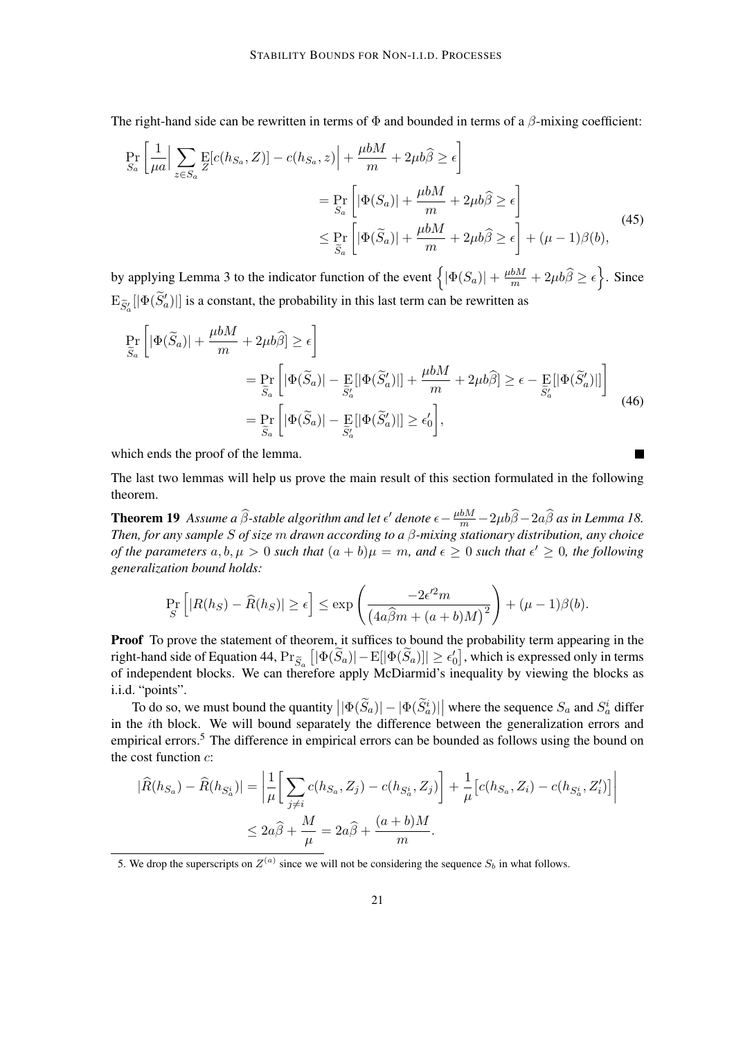The right-hand side can be rewritten in terms of  $\Phi$  and bounded in terms of a  $\beta$ -mixing coefficient:

$$
\Pr_{S_a} \left[ \frac{1}{\mu a} \Big| \sum_{z \in S_a} \mathbb{E} [c(h_{S_a}, Z)] - c(h_{S_a}, z) \Big| + \frac{\mu b M}{m} + 2\mu b \hat{\beta} \ge \epsilon \right]
$$
\n
$$
= \Pr_{S_a} \left[ |\Phi(S_a)| + \frac{\mu b M}{m} + 2\mu b \hat{\beta} \ge \epsilon \right]
$$
\n
$$
\le \Pr_{\widetilde{S}_a} \left[ |\Phi(\widetilde{S}_a)| + \frac{\mu b M}{m} + 2\mu b \hat{\beta} \ge \epsilon \right] + (\mu - 1)\beta(b), \tag{45}
$$

by applying Lemma 3 to the indicator function of the event  $\left\{ |\Phi(S_a)| + \frac{\mu bM}{m} + 2\mu b\widehat{\beta} \ge \epsilon \right\}$ . Since  $\mathrm{E}_{\widetilde{S}'_a}[|\Phi(\widetilde{S}'_a)|]$  is a constant, the probability in this last term can be rewritten as

$$
\Pr_{\widetilde{S}_a} \left[ |\Phi(\widetilde{S}_a)| + \frac{\mu b M}{m} + 2\mu b \widehat{\beta} \right] \ge \epsilon \right]
$$
\n
$$
= \Pr_{\widetilde{S}_a} \left[ |\Phi(\widetilde{S}_a)| - \Pr_{\widetilde{S}_a'} [|\Phi(\widetilde{S}_a')|] + \frac{\mu b M}{m} + 2\mu b \widehat{\beta} \right] \ge \epsilon - \Pr_{\widetilde{S}_a'} [|\Phi(\widetilde{S}_a')|] \right]
$$
\n
$$
= \Pr_{\widetilde{S}_a} \left[ |\Phi(\widetilde{S}_a)| - \Pr_{\widetilde{S}_a'} [|\Phi(\widetilde{S}_a')|] \ge \epsilon_0' \right],
$$
\n(46)

which ends the proof of the lemma.

The last two lemmas will help us prove the main result of this section formulated in the following theorem.

**Theorem 19** Assume a  $\widehat{\beta}$ -stable algorithm and let  $\epsilon'$  denote  $\epsilon - \frac{\mu b M}{m} - 2\mu b \widehat{\beta} - 2a \widehat{\beta}$  as in Lemma 18. *Then, for any sample* S *of size* m *drawn according to a* β*-mixing stationary distribution, any choice of the parameters*  $a, b, \mu > 0$  *such that*  $(a + b)\mu = m$ , and  $\epsilon \geq 0$  *such that*  $\epsilon' \geq 0$ , the following *generalization bound holds:*

$$
\Pr_{S} \left[ |R(h_S) - \widehat{R}(h_S)| \ge \epsilon \right] \le \exp \left( \frac{-2\epsilon'^2 m}{\left( 4a\widehat{\beta}m + (a+b)M \right)^2} \right) + (\mu - 1)\beta(b).
$$

Proof To prove the statement of theorem, it suffices to bound the probability term appearing in the right-hand side of Equation 44,  $\Pr_{\widetilde{S}_a}\left[|\Phi(\widetilde{S}_a)|-\mathrm{E}[|\Phi(\widetilde{S}_a)|]\geq \epsilon_0'\right],$  which is expressed only in terms of independent blocks. We can therefore apply McDiarmid's inequality by viewing the blocks as i.i.d. "points".

To do so, we must bound the quantity  $||\Phi(\tilde{S}_a)|| - |\Phi(\tilde{S}_a^i)||$  where the sequence  $S_a$  and  $S_a^i$  differ in the ith block. We will bound separately the difference between the generalization errors and empirical errors.<sup>5</sup> The difference in empirical errors can be bounded as follows using the bound on the cost function  $c$ :

$$
|\widehat{R}(h_{S_a}) - \widehat{R}(h_{S_a^i})| = \left| \frac{1}{\mu} \left[ \sum_{j \neq i} c(h_{S_a}, Z_j) - c(h_{S_a^i}, Z_j) \right] + \frac{1}{\mu} \left[ c(h_{S_a}, Z_i) - c(h_{S_a^i}, Z'_i) \right] \right|
$$
  

$$
\leq 2a\widehat{\beta} + \frac{M}{\mu} = 2a\widehat{\beta} + \frac{(a+b)M}{m}.
$$

<sup>5.</sup> We drop the superscripts on  $Z^{(a)}$  since we will not be considering the sequence  $S_b$  in what follows.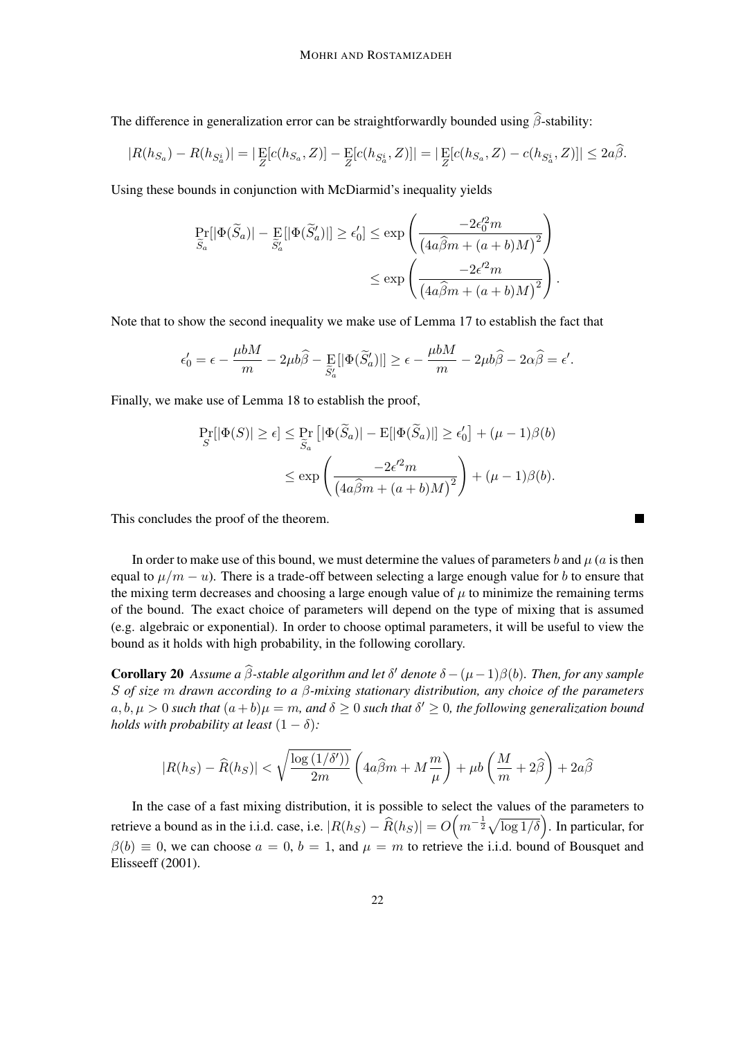The difference in generalization error can be straightforwardly bounded using  $\hat{\beta}$ -stability:

$$
|R(h_{S_a}) - R(h_{S_a^i})| = |\mathop{\mathrm{E}}_Z[c(h_{S_a}, Z)] - \mathop{\mathrm{E}}_Z[c(h_{S_a^i}, Z)]| = |\mathop{\mathrm{E}}_Z[c(h_{S_a}, Z) - c(h_{S_a^i}, Z)]| \leq 2a\hat{\beta}.
$$

Using these bounds in conjunction with McDiarmid's inequality yields

$$
\Pr_{\widetilde{S}_a}[\vert \Phi(\widetilde{S}_a)\vert - \Pr_{\widetilde{S}_a'}[\vert \Phi(\widetilde{S}_a')\vert] \geq \epsilon_0'] \leq \exp\left(\frac{-2\epsilon_0'^2 m}{\left(4a\widehat{\beta}m + (a+b)M\right)^2}\right)
$$

$$
\leq \exp\left(\frac{-2\epsilon'^2 m}{\left(4a\widehat{\beta}m + (a+b)M\right)^2}\right)
$$

.

 $\blacksquare$ 

Note that to show the second inequality we make use of Lemma 17 to establish the fact that

$$
\epsilon'_0 = \epsilon - \frac{\mu bM}{m} - 2\mu b\widehat{\beta} - \mathop{\mathbb{E}}_{\widetilde{S}'_a} [|\Phi(\widetilde{S}'_a)|] \ge \epsilon - \frac{\mu bM}{m} - 2\mu b\widehat{\beta} - 2\alpha \widehat{\beta} = \epsilon'.
$$

Finally, we make use of Lemma 18 to establish the proof,

$$
\Pr_{S}[\left|\Phi(S)\right| \geq \epsilon] \leq \Pr_{\widetilde{S}_a}[\left|\Phi(\widetilde{S}_a)\right| - \mathrm{E}[\left|\Phi(\widetilde{S}_a)\right|] \geq \epsilon'_0] + (\mu - 1)\beta(b)
$$

$$
\leq \exp\left(\frac{-2\epsilon'^2 m}{\left(4a\widehat{\beta}m + (a+b)M\right)^2}\right) + (\mu - 1)\beta(b).
$$

This concludes the proof of the theorem.

In order to make use of this bound, we must determine the values of parameters b and  $\mu$  (a is then equal to  $\mu/m - u$ ). There is a trade-off between selecting a large enough value for b to ensure that the mixing term decreases and choosing a large enough value of  $\mu$  to minimize the remaining terms of the bound. The exact choice of parameters will depend on the type of mixing that is assumed (e.g. algebraic or exponential). In order to choose optimal parameters, it will be useful to view the bound as it holds with high probability, in the following corollary.

**Corollary 20** *Assume a*  $\hat{\beta}$ -stable algorithm and let  $\delta'$  denote  $\delta - (\mu - 1)\beta(b)$ *. Then, for any sample* S *of size* m *drawn according to a* β*-mixing stationary distribution, any choice of the parameters*  $a, b, \mu > 0$  such that  $(a + b)\mu = m$ , and  $\delta \ge 0$  such that  $\delta' \ge 0$ , the following generalization bound *holds with probability at least*  $(1 - \delta)$ *:* 

$$
|R(h_S) - \widehat{R}(h_S)| < \sqrt{\frac{\log{(1/\delta')}}{2m}}\left(4a\widehat{\beta}m + M\frac{m}{\mu}\right) + \mu b\left(\frac{M}{m} + 2\widehat{\beta}\right) + 2a\widehat{\beta}
$$

In the case of a fast mixing distribution, it is possible to select the values of the parameters to retrieve a bound as in the i.i.d. case, i.e.  $|R(h_S) - \hat{R}(h_S)| = O\left(m^{-\frac{1}{2}}\sqrt{\log 1/\delta}\right)$ . In particular, for  $\beta(b) \equiv 0$ , we can choose  $a = 0$ ,  $b = 1$ , and  $\mu = m$  to retrieve the i.i.d. bound of Bousquet and Elisseeff (2001).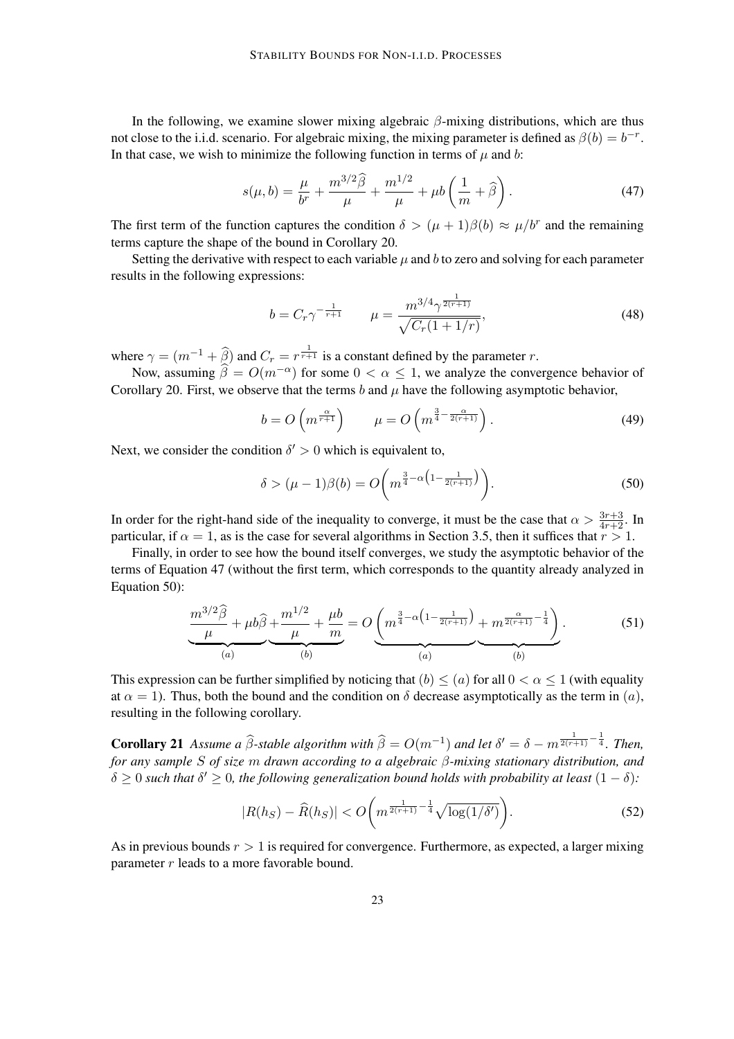In the following, we examine slower mixing algebraic  $\beta$ -mixing distributions, which are thus not close to the i.i.d. scenario. For algebraic mixing, the mixing parameter is defined as  $\beta(b) = b^{-r}$ . In that case, we wish to minimize the following function in terms of  $\mu$  and b:

$$
s(\mu, b) = \frac{\mu}{b^r} + \frac{m^{3/2}\hat{\beta}}{\mu} + \frac{m^{1/2}}{\mu} + \mu b\left(\frac{1}{m} + \hat{\beta}\right). \tag{47}
$$

The first term of the function captures the condition  $\delta > (\mu + 1)\beta(b) \approx \mu/b^r$  and the remaining terms capture the shape of the bound in Corollary 20.

Setting the derivative with respect to each variable  $\mu$  and b to zero and solving for each parameter results in the following expressions:

$$
b = C_r \gamma^{-\frac{1}{r+1}} \qquad \mu = \frac{m^{3/4} \gamma^{\frac{1}{2(r+1)}}}{\sqrt{C_r (1 + 1/r)}},\tag{48}
$$

where  $\gamma = (m^{-1} + \widehat{\beta})$  and  $C_r = r^{\frac{1}{r+1}}$  is a constant defined by the parameter r.

Now, assuming  $\hat{\beta} = O(m^{-\alpha})$  for some  $0 < \alpha \leq 1$ , we analyze the convergence behavior of Corollary 20. First, we observe that the terms b and  $\mu$  have the following asymptotic behavior,

$$
b = O\left(m^{\frac{\alpha}{r+1}}\right) \qquad \mu = O\left(m^{\frac{3}{4} - \frac{\alpha}{2(r+1)}}\right). \tag{49}
$$

Next, we consider the condition  $\delta' > 0$  which is equivalent to,

$$
\delta > (\mu - 1)\beta(b) = O\bigg(m^{\frac{3}{4} - \alpha\left(1 - \frac{1}{2(r+1)}\right)}\bigg).
$$
\n(50)

In order for the right-hand side of the inequality to converge, it must be the case that  $\alpha > \frac{3r+3}{4r+2}$ . In particular, if  $\alpha = 1$ , as is the case for several algorithms in Section 3.5, then it suffices that  $r > 1$ .

Finally, in order to see how the bound itself converges, we study the asymptotic behavior of the terms of Equation 47 (without the first term, which corresponds to the quantity already analyzed in Equation 50):

$$
\underbrace{\frac{m^{3/2}\widehat{\beta}}{\mu} + \mu b \widehat{\beta}}_{(a)} + \underbrace{\frac{m^{1/2}}{\mu} + \frac{\mu b}{m}}_{(b)} = O\underbrace{\left(m^{\frac{3}{4}-\alpha\left(1-\frac{1}{2(r+1)}\right)} + m^{\frac{\alpha}{2(r+1)}-\frac{1}{4}}\right)}_{(a)}.
$$
(51)

This expression can be further simplified by noticing that  $(b) < (a)$  for all  $0 < \alpha < 1$  (with equality at  $\alpha = 1$ ). Thus, both the bound and the condition on  $\delta$  decrease asymptotically as the term in (a), resulting in the following corollary.

**Corollary 21** *Assume a*  $\widehat{\beta}$ -stable algorithm with  $\widehat{\beta} = O(m^{-1})$  and let  $\delta' = \delta - m^{\frac{1}{2(r+1)} - \frac{1}{4}}$ . Then, *for any sample* S *of size* m *drawn according to a algebraic* β*-mixing stationary distribution, and*  $\delta \geq 0$  such that  $\delta' \geq 0$ , the following generalization bound holds with probability at least  $(1 - \delta)$ :

$$
|R(h_S) - \widehat{R}(h_S)| < O\bigg(m^{\frac{1}{2(r+1)} - \frac{1}{4}} \sqrt{\log(1/\delta')}\bigg). \tag{52}
$$

As in previous bounds  $r > 1$  is required for convergence. Furthermore, as expected, a larger mixing parameter r leads to a more favorable bound.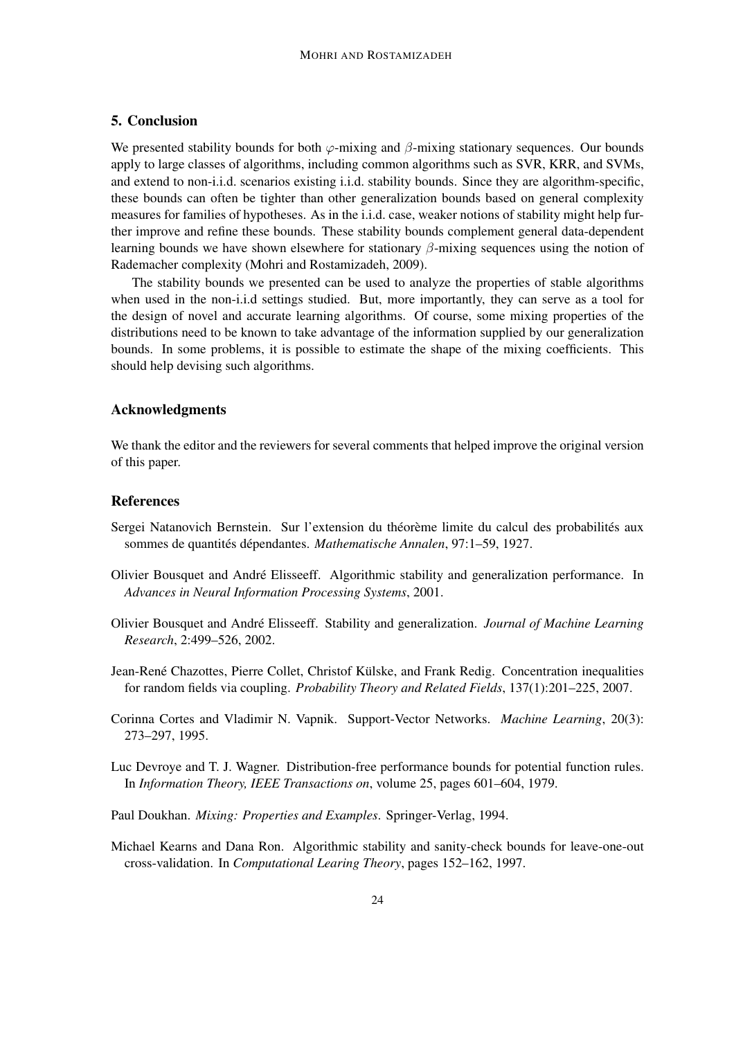## 5. Conclusion

We presented stability bounds for both  $\varphi$ -mixing and  $\beta$ -mixing stationary sequences. Our bounds apply to large classes of algorithms, including common algorithms such as SVR, KRR, and SVMs, and extend to non-i.i.d. scenarios existing i.i.d. stability bounds. Since they are algorithm-specific, these bounds can often be tighter than other generalization bounds based on general complexity measures for families of hypotheses. As in the i.i.d. case, weaker notions of stability might help further improve and refine these bounds. These stability bounds complement general data-dependent learning bounds we have shown elsewhere for stationary  $\beta$ -mixing sequences using the notion of Rademacher complexity (Mohri and Rostamizadeh, 2009).

The stability bounds we presented can be used to analyze the properties of stable algorithms when used in the non-i.i.d settings studied. But, more importantly, they can serve as a tool for the design of novel and accurate learning algorithms. Of course, some mixing properties of the distributions need to be known to take advantage of the information supplied by our generalization bounds. In some problems, it is possible to estimate the shape of the mixing coefficients. This should help devising such algorithms.

## Acknowledgments

We thank the editor and the reviewers for several comments that helped improve the original version of this paper.

#### References

- Sergei Natanovich Bernstein. Sur l'extension du théorème limite du calcul des probabilités aux sommes de quantités dépendantes. Mathematische Annalen, 97:1–59, 1927.
- Olivier Bousquet and André Elisseeff. Algorithmic stability and generalization performance. In *Advances in Neural Information Processing Systems*, 2001.
- Olivier Bousquet and Andre Elisseeff. Stability and generalization. ´ *Journal of Machine Learning Research*, 2:499–526, 2002.
- Jean-René Chazottes, Pierre Collet, Christof Külske, and Frank Redig. Concentration inequalities for random fields via coupling. *Probability Theory and Related Fields*, 137(1):201–225, 2007.
- Corinna Cortes and Vladimir N. Vapnik. Support-Vector Networks. *Machine Learning*, 20(3): 273–297, 1995.
- Luc Devroye and T. J. Wagner. Distribution-free performance bounds for potential function rules. In *Information Theory, IEEE Transactions on*, volume 25, pages 601–604, 1979.
- Paul Doukhan. *Mixing: Properties and Examples*. Springer-Verlag, 1994.
- Michael Kearns and Dana Ron. Algorithmic stability and sanity-check bounds for leave-one-out cross-validation. In *Computational Learing Theory*, pages 152–162, 1997.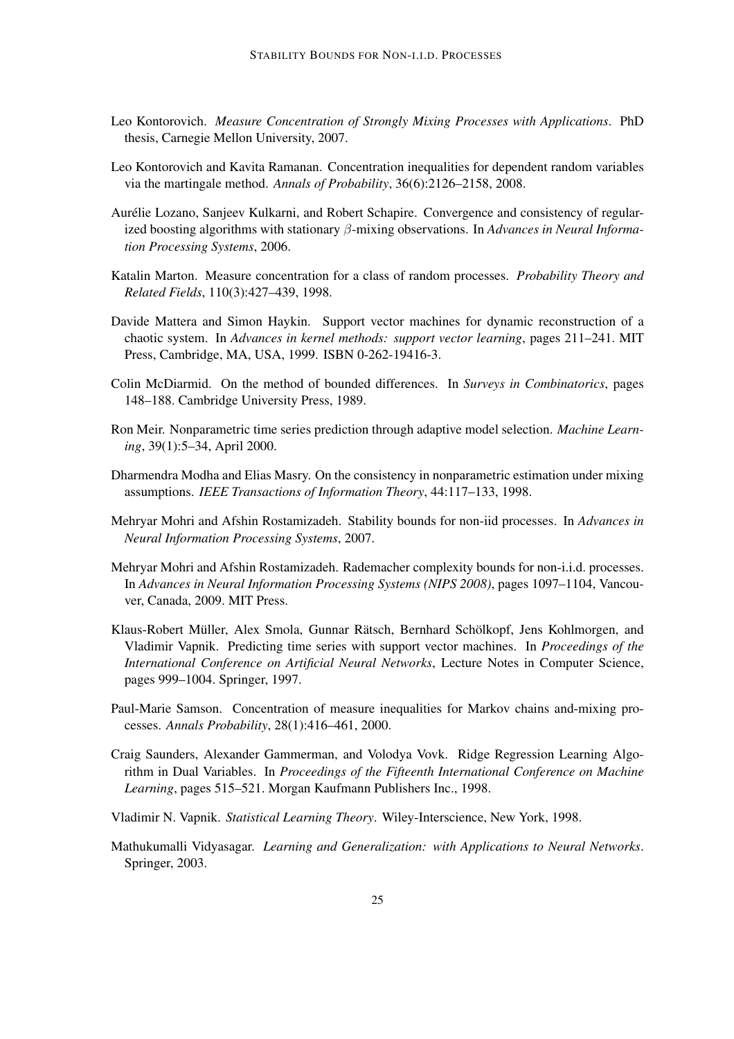- Leo Kontorovich. *Measure Concentration of Strongly Mixing Processes with Applications*. PhD thesis, Carnegie Mellon University, 2007.
- Leo Kontorovich and Kavita Ramanan. Concentration inequalities for dependent random variables via the martingale method. *Annals of Probability*, 36(6):2126–2158, 2008.
- Aurélie Lozano, Sanjeev Kulkarni, and Robert Schapire. Convergence and consistency of regularized boosting algorithms with stationary β-mixing observations. In *Advances in Neural Information Processing Systems*, 2006.
- Katalin Marton. Measure concentration for a class of random processes. *Probability Theory and Related Fields*, 110(3):427–439, 1998.
- Davide Mattera and Simon Haykin. Support vector machines for dynamic reconstruction of a chaotic system. In *Advances in kernel methods: support vector learning*, pages 211–241. MIT Press, Cambridge, MA, USA, 1999. ISBN 0-262-19416-3.
- Colin McDiarmid. On the method of bounded differences. In *Surveys in Combinatorics*, pages 148–188. Cambridge University Press, 1989.
- Ron Meir. Nonparametric time series prediction through adaptive model selection. *Machine Learning*, 39(1):5–34, April 2000.
- Dharmendra Modha and Elias Masry. On the consistency in nonparametric estimation under mixing assumptions. *IEEE Transactions of Information Theory*, 44:117–133, 1998.
- Mehryar Mohri and Afshin Rostamizadeh. Stability bounds for non-iid processes. In *Advances in Neural Information Processing Systems*, 2007.
- Mehryar Mohri and Afshin Rostamizadeh. Rademacher complexity bounds for non-i.i.d. processes. In *Advances in Neural Information Processing Systems (NIPS 2008)*, pages 1097–1104, Vancouver, Canada, 2009. MIT Press.
- Klaus-Robert Müller, Alex Smola, Gunnar Rätsch, Bernhard Schölkopf, Jens Kohlmorgen, and Vladimir Vapnik. Predicting time series with support vector machines. In *Proceedings of the International Conference on Artificial Neural Networks*, Lecture Notes in Computer Science, pages 999–1004. Springer, 1997.
- Paul-Marie Samson. Concentration of measure inequalities for Markov chains and-mixing processes. *Annals Probability*, 28(1):416–461, 2000.
- Craig Saunders, Alexander Gammerman, and Volodya Vovk. Ridge Regression Learning Algorithm in Dual Variables. In *Proceedings of the Fifteenth International Conference on Machine Learning*, pages 515–521. Morgan Kaufmann Publishers Inc., 1998.
- Vladimir N. Vapnik. *Statistical Learning Theory*. Wiley-Interscience, New York, 1998.
- Mathukumalli Vidyasagar. *Learning and Generalization: with Applications to Neural Networks*. Springer, 2003.